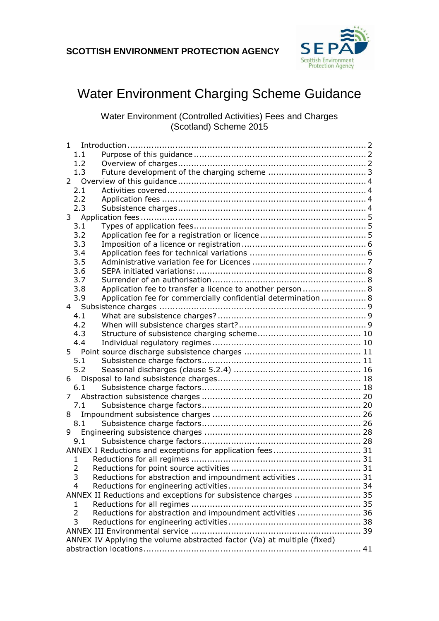

# Water Environment Charging Scheme Guidance

Water Environment (Controlled Activities) Fees and Charges (Scotland) Scheme 2015

| 1                                                                           |  |
|-----------------------------------------------------------------------------|--|
| 1.1                                                                         |  |
| 1.2                                                                         |  |
| 1.3                                                                         |  |
| 2                                                                           |  |
| 2.1                                                                         |  |
| 2.2                                                                         |  |
| 2.3                                                                         |  |
| 3 <sup>7</sup>                                                              |  |
| 3.1                                                                         |  |
| 3.2                                                                         |  |
| 3.3                                                                         |  |
| 3.4                                                                         |  |
| 3.5                                                                         |  |
| 3.6                                                                         |  |
| 3.7                                                                         |  |
| Application fee to transfer a licence to another person 8<br>3.8            |  |
| Application fee for commercially confidential determination  8<br>3.9       |  |
|                                                                             |  |
| 4.1                                                                         |  |
| 4.2                                                                         |  |
| 4.3                                                                         |  |
| 4.4                                                                         |  |
|                                                                             |  |
| 5.1                                                                         |  |
| 5.2                                                                         |  |
| 6                                                                           |  |
| 6.1                                                                         |  |
| 7                                                                           |  |
| 7.1                                                                         |  |
| 8                                                                           |  |
| 8.1                                                                         |  |
| 9                                                                           |  |
| 9.1                                                                         |  |
|                                                                             |  |
| 1                                                                           |  |
| 2                                                                           |  |
| 3<br>Reductions for abstraction and impoundment activities  31              |  |
| $\overline{4}$                                                              |  |
| ANNEX II Reductions and exceptions for subsistence charges  35              |  |
| 1                                                                           |  |
| Reductions for abstraction and impoundment activities  36<br>$\overline{2}$ |  |
| 3                                                                           |  |
|                                                                             |  |
| ANNEX IV Applying the volume abstracted factor (Va) at multiple (fixed)     |  |
|                                                                             |  |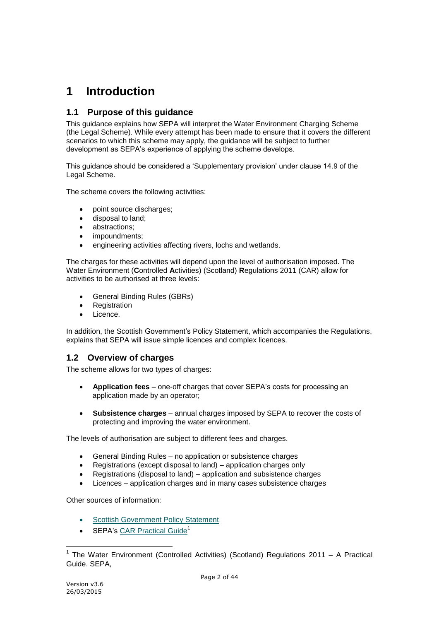# <span id="page-1-0"></span>**1 Introduction**

# <span id="page-1-1"></span>**1.1 Purpose of this guidance**

This guidance explains how SEPA will interpret the Water Environment Charging Scheme (the Legal Scheme). While every attempt has been made to ensure that it covers the different scenarios to which this scheme may apply, the guidance will be subject to further development as SEPA's experience of applying the scheme develops.

This guidance should be considered a 'Supplementary provision' under clause 14.9 of the Legal Scheme.

The scheme covers the following activities:

- point source discharges;
- disposal to land;
- abstractions;
- impoundments;
- engineering activities affecting rivers, lochs and wetlands.

The charges for these activities will depend upon the level of authorisation imposed. The Water Environment (**C**ontrolled **A**ctivities) (Scotland) **R**egulations 2011 (CAR) allow for activities to be authorised at three levels:

- General Binding Rules (GBRs)
- Registration
- Licence.

In addition, the Scottish Government's Policy Statement, which accompanies the Regulations, explains that SEPA will issue simple licences and complex licences.

# <span id="page-1-2"></span>**1.2 Overview of charges**

The scheme allows for two types of charges:

- **Application fees** one-off charges that cover SEPA's costs for processing an application made by an operator;
- **Subsistence charges** annual charges imposed by SEPA to recover the costs of protecting and improving the water environment.

The levels of authorisation are subject to different fees and charges.

- General Binding Rules no application or subsistence charges
- Registrations (except disposal to land) application charges only
- Registrations (disposal to land) application and subsistence charges
- Licences application charges and in many cases subsistence charges

Other sources of information:

- **[Scottish Government Policy Statement](http://spoxy5.insipio.com/menu2/sc/www.scotland.gov.uk:80/Publications/2005/05/0995747/57495)**
- SEPA's [CAR Practical Guide](http://www.sepa.org.uk/water/idoc.ashx?docid=f8e4798e-2cab-4ceb-968b-f2a10d7fd8e7&version=-1)<sup>1</sup>

 1 The Water Environment (Controlled Activities) (Scotland) Regulations 2011 – A Practical Guide. SEPA,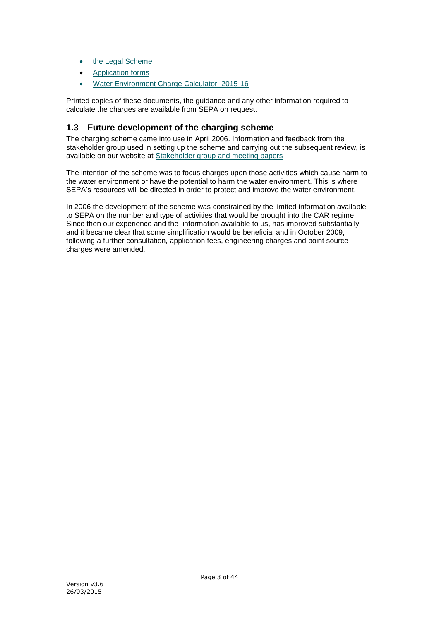- [the Legal Scheme](http://www.sepa.org.uk/about_us/charging_schemes/idoc.ashx?docid=dd9d1b59-e098-4929-9ec1-8c8cd5409717&version=-1)
- [Application forms](http://www.sepa.org.uk/system_pages/application_forms.aspx)
- [Water Environment Charge Calculator 2015-16](http://www.sepa.org.uk/about_us/charging_schemes/idoc.ashx?docid=D612984E-79AD-4800-8E33-032733A42198&version=-1)

Printed copies of these documents, the guidance and any other information required to calculate the charges are available from SEPA on request.

# <span id="page-2-0"></span>**1.3 Future development of the charging scheme**

The charging scheme came into use in April 2006. Information and feedback from the stakeholder group used in setting up the scheme and carrying out the subsequent review, is available on our website at [Stakeholder group and meeting papers](http://www.sepa.org.uk/water/water_regulation/charging_scheme/stakeholder_groups/regulatory_group.aspx)

The intention of the scheme was to focus charges upon those activities which cause harm to the water environment or have the potential to harm the water environment. This is where SEPA's resources will be directed in order to protect and improve the water environment.

In 2006 the development of the scheme was constrained by the limited information available to SEPA on the number and type of activities that would be brought into the CAR regime. Since then our experience and the information available to us, has improved substantially and it became clear that some simplification would be beneficial and in October 2009, following a further consultation, application fees, engineering charges and point source charges were amended.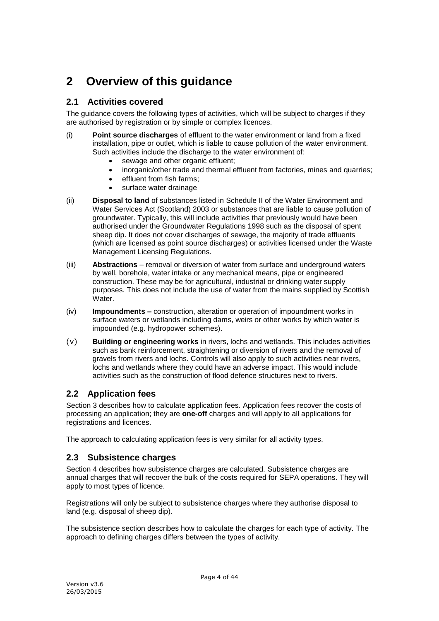# <span id="page-3-0"></span>**2 Overview of this guidance**

# <span id="page-3-1"></span>**2.1 Activities covered**

The guidance covers the following types of activities, which will be subject to charges if they are authorised by registration or by simple or complex licences.

- (i) **Point source discharges** of effluent to the water environment or land from a fixed installation, pipe or outlet, which is liable to cause pollution of the water environment. Such activities include the discharge to the water environment of:
	- sewage and other organic effluent;
	- inorganic/other trade and thermal effluent from factories, mines and quarries;
	- **e** effluent from fish farms;
	- surface water drainage
- (ii) **Disposal to land** of substances listed in Schedule II of the Water Environment and Water Services Act (Scotland) 2003 or substances that are liable to cause pollution of groundwater. Typically, this will include activities that previously would have been authorised under the Groundwater Regulations 1998 such as the disposal of spent sheep dip. It does not cover discharges of sewage, the majority of trade effluents (which are licensed as point source discharges) or activities licensed under the Waste Management Licensing Regulations.
- (iii) **Abstractions** removal or diversion of water from surface and underground waters by well, borehole, water intake or any mechanical means, pipe or engineered construction. These may be for agricultural, industrial or drinking water supply purposes. This does not include the use of water from the mains supplied by Scottish Water
- (iv) **Impoundments –** construction, alteration or operation of impoundment works in surface waters or wetlands including dams, weirs or other works by which water is impounded (e.g. hydropower schemes).
- (v) **Building or engineering works** in rivers, lochs and wetlands. This includes activities such as bank reinforcement, straightening or diversion of rivers and the removal of gravels from rivers and lochs. Controls will also apply to such activities near rivers, lochs and wetlands where they could have an adverse impact. This would include activities such as the construction of flood defence structures next to rivers.

# <span id="page-3-2"></span>**2.2 Application fees**

Section 3 describes how to calculate application fees. Application fees recover the costs of processing an application; they are **one-off** charges and will apply to all applications for registrations and licences.

<span id="page-3-3"></span>The approach to calculating application fees is very similar for all activity types.

# **2.3 Subsistence charges**

Section 4 describes how subsistence charges are calculated. Subsistence charges are annual charges that will recover the bulk of the costs required for SEPA operations. They will apply to most types of licence.

Registrations will only be subject to subsistence charges where they authorise disposal to land (e.g. disposal of sheep dip).

The subsistence section describes how to calculate the charges for each type of activity. The approach to defining charges differs between the types of activity.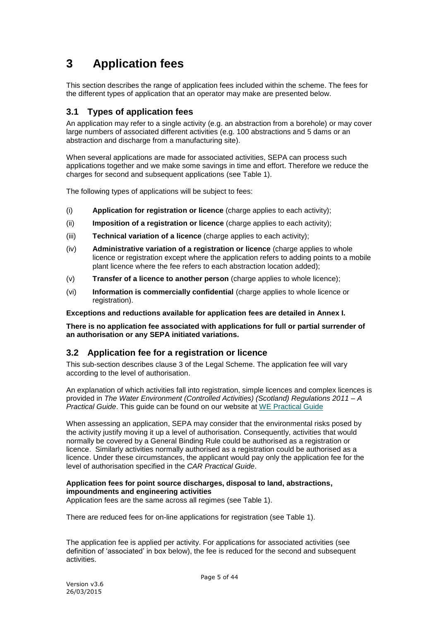# <span id="page-4-0"></span>**3 Application fees**

This section describes the range of application fees included within the scheme. The fees for the different types of application that an operator may make are presented below.

# <span id="page-4-1"></span>**3.1 Types of application fees**

An application may refer to a single activity (e.g. an abstraction from a borehole) or may cover large numbers of associated different activities (e.g. 100 abstractions and 5 dams or an abstraction and discharge from a manufacturing site).

When several applications are made for associated activities, SEPA can process such applications together and we make some savings in time and effort. Therefore we reduce the charges for second and subsequent applications (see Table 1).

The following types of applications will be subject to fees:

- (i) **Application for registration or licence** (charge applies to each activity);
- (ii) **Imposition of a registration or licence** (charge applies to each activity);
- (iii) **Technical variation of a licence** (charge applies to each activity);
- (iv) **Administrative variation of a registration or licence** (charge applies to whole licence or registration except where the application refers to adding points to a mobile plant licence where the fee refers to each abstraction location added);
- (v) **Transfer of a licence to another person** (charge applies to whole licence);
- (vi) **Information is commercially confidential** (charge applies to whole licence or registration).

**Exceptions and reductions available for application fees are detailed in Annex I.**

**There is no application fee associated with applications for full or partial surrender of an authorisation or any SEPA initiated variations.**

# <span id="page-4-2"></span>**3.2 Application fee for a registration or licence**

This sub-section describes clause 3 of the Legal Scheme. The application fee will vary according to the level of authorisation.

An explanation of which activities fall into registration, simple licences and complex licences is provided in *The Water Environment (Controlled Activities) (Scotland) Regulations 2011 – A Practical Guide*. This guide can be found on our website at [WE Practical Guide](http://www.sepa.org.uk/water/idoc.ashx?docid=f8e4798e-2cab-4ceb-968b-f2a10d7fd8e7&version=-1)

When assessing an application, SEPA may consider that the environmental risks posed by the activity justify moving it up a level of authorisation. Consequently, activities that would normally be covered by a General Binding Rule could be authorised as a registration or licence. Similarly activities normally authorised as a registration could be authorised as a licence. Under these circumstances, the applicant would pay only the application fee for the level of authorisation specified in the *CAR Practical Guide*.

## **Application fees for point source discharges, disposal to land, abstractions, impoundments and engineering activities**

Application fees are the same across all regimes (see Table 1).

There are reduced fees for on-line applications for registration (see Table 1).

The application fee is applied per activity. For applications for associated activities (see definition of 'associated' in box below), the fee is reduced for the second and subsequent activities.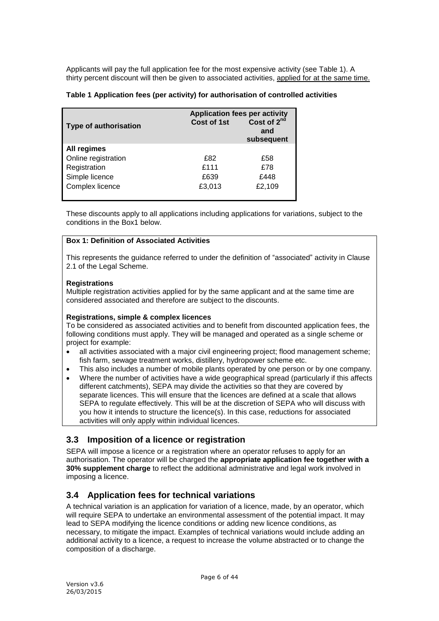Applicants will pay the full application fee for the most expensive activity (see Table 1). A thirty percent discount will then be given to associated activities, applied for at the same time.

|  |  |  |  |  |  | Table 1 Application fees (per activity) for authorisation of controlled activities |
|--|--|--|--|--|--|------------------------------------------------------------------------------------|
|--|--|--|--|--|--|------------------------------------------------------------------------------------|

| <b>Type of authorisation</b> | <b>Application fees per activity</b><br>Cost of 1st | Cost of $2^{nd}$<br>and<br>subsequent |
|------------------------------|-----------------------------------------------------|---------------------------------------|
| All regimes                  |                                                     |                                       |
| Online registration          | £82                                                 | £58                                   |
| Registration                 | £111                                                | £78                                   |
| Simple licence               | £639                                                | £448                                  |
| Complex licence              | £3,013                                              | £2,109                                |

These discounts apply to all applications including applications for variations, subject to the conditions in the Box1 below.

## **Box 1: Definition of Associated Activities**

This represents the guidance referred to under the definition of "associated" activity in Clause 2.1 of the Legal Scheme.

#### **Registrations**

Multiple registration activities applied for by the same applicant and at the same time are considered associated and therefore are subject to the discounts.

## **Registrations, simple & complex licences**

To be considered as associated activities and to benefit from discounted application fees, the following conditions must apply. They will be managed and operated as a single scheme or project for example:

- all activities associated with a major civil engineering project; flood management scheme; fish farm, sewage treatment works, distillery, hydropower scheme etc.
- This also includes a number of mobile plants operated by one person or by one company.
- Where the number of activities have a wide geographical spread (particularly if this affects different catchments), SEPA may divide the activities so that they are covered by separate licences. This will ensure that the licences are defined at a scale that allows SEPA to regulate effectively. This will be at the discretion of SEPA who will discuss with you how it intends to structure the licence(s). In this case, reductions for associated activities will only apply within individual licences.

# <span id="page-5-0"></span>**3.3 Imposition of a licence or registration**

SEPA will impose a licence or a registration where an operator refuses to apply for an authorisation. The operator will be charged the **appropriate application fee together with a 30% supplement charge** to reflect the additional administrative and legal work involved in imposing a licence.

# <span id="page-5-1"></span>**3.4 Application fees for technical variations**

A technical variation is an application for variation of a licence, made, by an operator, which will require SEPA to undertake an environmental assessment of the potential impact. It may lead to SEPA modifying the licence conditions or adding new licence conditions, as necessary, to mitigate the impact. Examples of technical variations would include adding an additional activity to a licence, a request to increase the volume abstracted or to change the composition of a discharge.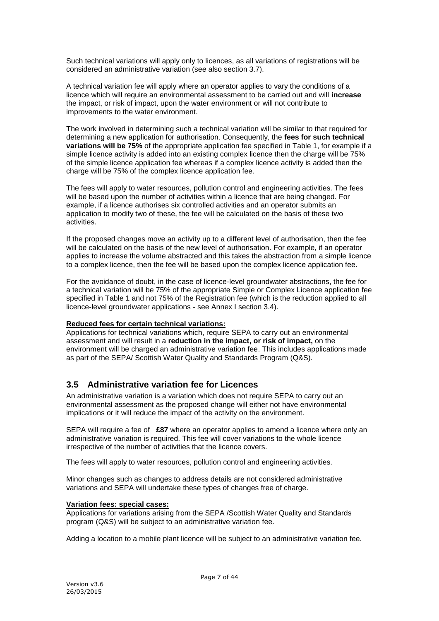Such technical variations will apply only to licences, as all variations of registrations will be considered an administrative variation (see also section 3.7).

A technical variation fee will apply where an operator applies to vary the conditions of a licence which will require an environmental assessment to be carried out and will **increase** the impact, or risk of impact, upon the water environment or will not contribute to improvements to the water environment.

The work involved in determining such a technical variation will be similar to that required for determining a new application for authorisation. Consequently, the **fees for such technical variations will be 75%** of the appropriate application fee specified in Table 1, for example if a simple licence activity is added into an existing complex licence then the charge will be 75% of the simple licence application fee whereas if a complex licence activity is added then the charge will be 75% of the complex licence application fee.

The fees will apply to water resources, pollution control and engineering activities. The fees will be based upon the number of activities within a licence that are being changed. For example, if a licence authorises six controlled activities and an operator submits an application to modify two of these, the fee will be calculated on the basis of these two activities.

If the proposed changes move an activity up to a different level of authorisation, then the fee will be calculated on the basis of the new level of authorisation. For example, if an operator applies to increase the volume abstracted and this takes the abstraction from a simple licence to a complex licence, then the fee will be based upon the complex licence application fee.

For the avoidance of doubt, in the case of licence-level groundwater abstractions, the fee for a technical variation will be 75% of the appropriate Simple or Complex Licence application fee specified in Table 1 and not 75% of the Registration fee (which is the reduction applied to all licence-level groundwater applications - see Annex I section 3.4).

## **Reduced fees for certain technical variations:**

Applications for technical variations which, require SEPA to carry out an environmental assessment and will result in a **reduction in the impact, or risk of impact,** on the environment will be charged an administrative variation fee. This includes applications made as part of the SEPA/ Scottish Water Quality and Standards Program (Q&S).

# <span id="page-6-0"></span>**3.5 Administrative variation fee for Licences**

An administrative variation is a variation which does not require SEPA to carry out an environmental assessment as the proposed change will either not have environmental implications or it will reduce the impact of the activity on the environment.

SEPA will require a fee of **£87** where an operator applies to amend a licence where only an administrative variation is required. This fee will cover variations to the whole licence irrespective of the number of activities that the licence covers.

The fees will apply to water resources, pollution control and engineering activities.

Minor changes such as changes to address details are not considered administrative variations and SEPA will undertake these types of changes free of charge.

#### **Variation fees: special cases:**

Applications for variations arising from the SEPA /Scottish Water Quality and Standards program (Q&S) will be subject to an administrative variation fee.

Adding a location to a mobile plant licence will be subject to an administrative variation fee.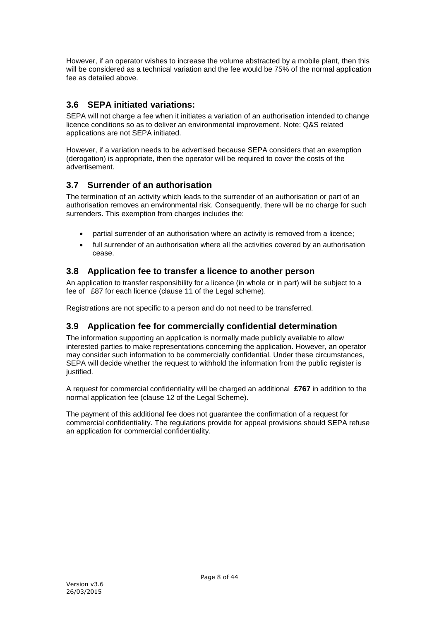However, if an operator wishes to increase the volume abstracted by a mobile plant, then this will be considered as a technical variation and the fee would be 75% of the normal application fee as detailed above.

# <span id="page-7-0"></span>**3.6 SEPA initiated variations:**

SEPA will not charge a fee when it initiates a variation of an authorisation intended to change licence conditions so as to deliver an environmental improvement. Note: Q&S related applications are not SEPA initiated.

However, if a variation needs to be advertised because SEPA considers that an exemption (derogation) is appropriate, then the operator will be required to cover the costs of the advertisement.

# <span id="page-7-1"></span>**3.7 Surrender of an authorisation**

The termination of an activity which leads to the surrender of an authorisation or part of an authorisation removes an environmental risk. Consequently, there will be no charge for such surrenders. This exemption from charges includes the:

- partial surrender of an authorisation where an activity is removed from a licence;
- full surrender of an authorisation where all the activities covered by an authorisation cease.

# <span id="page-7-2"></span>**3.8 Application fee to transfer a licence to another person**

An application to transfer responsibility for a licence (in whole or in part) will be subject to a fee of £87 for each licence (clause 11 of the Legal scheme).

<span id="page-7-3"></span>Registrations are not specific to a person and do not need to be transferred.

# **3.9 Application fee for commercially confidential determination**

The information supporting an application is normally made publicly available to allow interested parties to make representations concerning the application. However, an operator may consider such information to be commercially confidential. Under these circumstances, SEPA will decide whether the request to withhold the information from the public register is justified.

A request for commercial confidentiality will be charged an additional **£767** in addition to the normal application fee (clause 12 of the Legal Scheme).

The payment of this additional fee does not guarantee the confirmation of a request for commercial confidentiality. The regulations provide for appeal provisions should SEPA refuse an application for commercial confidentiality.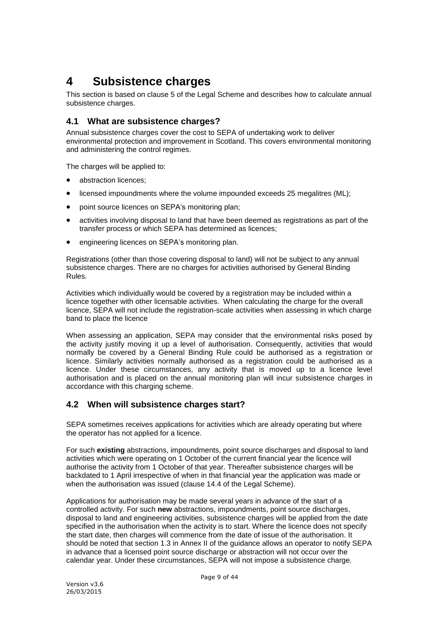# <span id="page-8-0"></span>**4 Subsistence charges**

This section is based on clause 5 of the Legal Scheme and describes how to calculate annual subsistence charges.

# <span id="page-8-1"></span>**4.1 What are subsistence charges?**

Annual subsistence charges cover the cost to SEPA of undertaking work to deliver environmental protection and improvement in Scotland. This covers environmental monitoring and administering the control regimes.

The charges will be applied to:

- abstraction licences:
- licensed impoundments where the volume impounded exceeds 25 megalitres (ML);
- **•** point source licences on SEPA's monitoring plan:
- activities involving disposal to land that have been deemed as registrations as part of the transfer process or which SEPA has determined as licences;
- engineering licences on SEPA's monitoring plan.

Registrations (other than those covering disposal to land) will not be subject to any annual subsistence charges. There are no charges for activities authorised by General Binding Rules.

Activities which individually would be covered by a registration may be included within a licence together with other licensable activities. When calculating the charge for the overall licence, SEPA will not include the registration-scale activities when assessing in which charge band to place the licence

When assessing an application, SEPA may consider that the environmental risks posed by the activity justify moving it up a level of authorisation. Consequently, activities that would normally be covered by a General Binding Rule could be authorised as a registration or licence. Similarly activities normally authorised as a registration could be authorised as a licence. Under these circumstances, any activity that is moved up to a licence level authorisation and is placed on the annual monitoring plan will incur subsistence charges in accordance with this charging scheme.

## <span id="page-8-2"></span>**4.2 When will subsistence charges start?**

SEPA sometimes receives applications for activities which are already operating but where the operator has not applied for a licence.

For such **existing** abstractions, impoundments, point source discharges and disposal to land activities which were operating on 1 October of the current financial year the licence will authorise the activity from 1 October of that year. Thereafter subsistence charges will be backdated to 1 April irrespective of when in that financial year the application was made or when the authorisation was issued (clause 14.4 of the Legal Scheme).

Applications for authorisation may be made several years in advance of the start of a controlled activity. For such **new** abstractions, impoundments, point source discharges, disposal to land and engineering activities, subsistence charges will be applied from the date specified in the authorisation when the activity is to start. Where the licence does not specify the start date, then charges will commence from the date of issue of the authorisation. It should be noted that section 1.3 in Annex II of the guidance allows an operator to notify SEPA in advance that a licensed point source discharge or abstraction will not occur over the calendar year. Under these circumstances, SEPA will not impose a subsistence charge.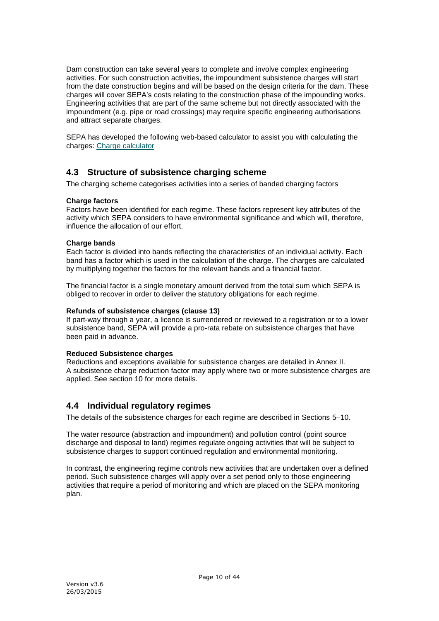Dam construction can take several years to complete and involve complex engineering activities. For such construction activities, the impoundment subsistence charges will start from the date construction begins and will be based on the design criteria for the dam. These charges will cover SEPA's costs relating to the construction phase of the impounding works. Engineering activities that are part of the same scheme but not directly associated with the impoundment (e.g. pipe or road crossings) may require specific engineering authorisations and attract separate charges.

SEPA has developed the following web-based calculator to assist you with calculating the charges: [Charge calculator](http://www.sepa.org.uk/about_us/charging_schemes/idoc.ashx?docid=d8cda160-b781-4818-9d1c-7c10a980bdb9&version=-1)

# <span id="page-9-0"></span>**4.3 Structure of subsistence charging scheme**

The charging scheme categorises activities into a series of banded charging factors

## **Charge factors**

Factors have been identified for each regime. These factors represent key attributes of the activity which SEPA considers to have environmental significance and which will, therefore, influence the allocation of our effort.

#### **Charge bands**

Each factor is divided into bands reflecting the characteristics of an individual activity. Each band has a factor which is used in the calculation of the charge. The charges are calculated by multiplying together the factors for the relevant bands and a financial factor.

The financial factor is a single monetary amount derived from the total sum which SEPA is obliged to recover in order to deliver the statutory obligations for each regime.

#### **Refunds of subsistence charges (clause 13)**

If part-way through a year, a licence is surrendered or reviewed to a registration or to a lower subsistence band, SEPA will provide a pro-rata rebate on subsistence charges that have been paid in advance.

#### **Reduced Subsistence charges**

Reductions and exceptions available for subsistence charges are detailed in Annex II. A subsistence charge reduction factor may apply where two or more subsistence charges are applied. See section 10 for more details.

## <span id="page-9-1"></span>**4.4 Individual regulatory regimes**

The details of the subsistence charges for each regime are described in Sections 5–10.

The water resource (abstraction and impoundment) and pollution control (point source discharge and disposal to land) regimes regulate ongoing activities that will be subject to subsistence charges to support continued regulation and environmental monitoring.

In contrast, the engineering regime controls new activities that are undertaken over a defined period. Such subsistence charges will apply over a set period only to those engineering activities that require a period of monitoring and which are placed on the SEPA monitoring plan.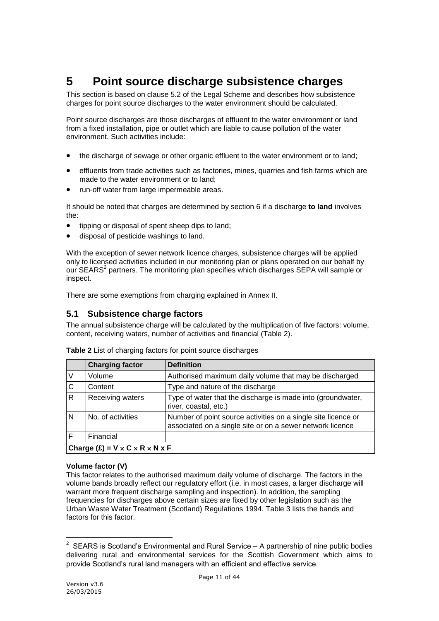# <span id="page-10-0"></span>**5 Point source discharge subsistence charges**

This section is based on clause 5.2 of the Legal Scheme and describes how subsistence charges for point source discharges to the water environment should be calculated.

Point source discharges are those discharges of effluent to the water environment or land from a fixed installation, pipe or outlet which are liable to cause pollution of the water environment. Such activities include:

- the discharge of sewage or other organic effluent to the water environment or to land;
- effluents from trade activities such as factories, mines, quarries and fish farms which are made to the water environment or to land;
- run-off water from large impermeable areas.

It should be noted that charges are determined by section 6 if a discharge **to land** involves the:

- tipping or disposal of spent sheep dips to land;
- disposal of pesticide washings to land.

With the exception of sewer network licence charges, subsistence charges will be applied only to licensed activities included in our monitoring plan or plans operated on our behalf by our SEARS<sup>2</sup> partners. The monitoring plan specifies which discharges SEPA will sample or inspect.

<span id="page-10-1"></span>There are some exemptions from charging explained in Annex II.

# **5.1 Subsistence charge factors**

The annual subsistence charge will be calculated by the multiplication of five factors: volume, content, receiving waters, number of activities and financial (Table 2).

|   | <b>Charging factor</b>                               | <b>Definition</b>                                                                                                          |  |  |
|---|------------------------------------------------------|----------------------------------------------------------------------------------------------------------------------------|--|--|
|   | Volume                                               | Authorised maximum daily volume that may be discharged                                                                     |  |  |
| C | Content                                              | Type and nature of the discharge                                                                                           |  |  |
| R | Receiving waters                                     | Type of water that the discharge is made into (groundwater,<br>river, coastal, etc.)                                       |  |  |
| N | No. of activities                                    | Number of point source activities on a single site licence or<br>associated on a single site or on a sewer network licence |  |  |
|   | Financial                                            |                                                                                                                            |  |  |
|   | Charge $(E) = V \times C \times R \times N \times F$ |                                                                                                                            |  |  |

**Table 2** List of charging factors for point source discharges

#### **Volume factor (V)**

This factor relates to the authorised maximum daily volume of discharge. The factors in the volume bands broadly reflect our regulatory effort (i.e. in most cases, a larger discharge will warrant more frequent discharge sampling and inspection). In addition, the sampling frequencies for discharges above certain sizes are fixed by other legislation such as the Urban Waste Water Treatment (Scotland) Regulations 1994. Table 3 lists the bands and factors for this factor.

 $\frac{1}{2}$  SEARS is Scotland's Environmental and Rural Service – A partnership of nine public bodies delivering rural and environmental services for the Scottish Government which aims to provide Scotland's rural land managers with an efficient and effective service.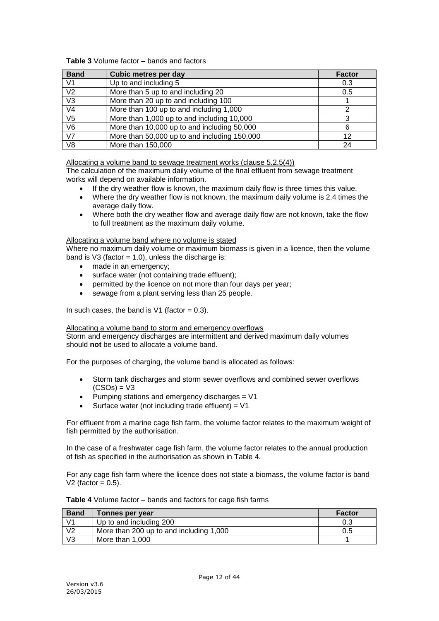## **Table 3** Volume factor – bands and factors

| <b>Band</b>            | <b>Cubic metres per day</b>                  | <b>Factor</b> |
|------------------------|----------------------------------------------|---------------|
| V <sub>1</sub>         | Up to and including 5                        | 0.3           |
| V <sub>2</sub>         | More than 5 up to and including 20           | 0.5           |
| V <sub>3</sub>         | More than 20 up to and including 100         |               |
| V <sub>4</sub>         | More than 100 up to and including 1,000      |               |
| V <sub>5</sub>         | More than 1,000 up to and including 10,000   |               |
| V <sub>6</sub>         | More than 10,000 up to and including 50,000  | 6             |
| $\overline{\text{V7}}$ | More than 50,000 up to and including 150,000 | 12            |
| V <sub>8</sub>         | More than 150,000                            | 24            |

Allocating a volume band to sewage treatment works (clause 5.2.5(4))

The calculation of the maximum daily volume of the final effluent from sewage treatment works will depend on available information.

- If the dry weather flow is known, the maximum daily flow is three times this value.
- Where the dry weather flow is not known, the maximum daily volume is 2.4 times the average daily flow.
- Where both the dry weather flow and average daily flow are not known, take the flow to full treatment as the maximum daily volume.

#### Allocating a volume band where no volume is stated

Where no maximum daily volume or maximum biomass is given in a licence, then the volume band is V3 (factor =  $1.0$ ), unless the discharge is:

- made in an emergency;
- surface water (not containing trade effluent);
- permitted by the licence on not more than four days per year;
- sewage from a plant serving less than 25 people.

In such cases, the band is  $V1$  (factor = 0.3).

#### Allocating a volume band to storm and emergency overflows

Storm and emergency discharges are intermittent and derived maximum daily volumes should **not** be used to allocate a volume band.

For the purposes of charging, the volume band is allocated as follows:

- Storm tank discharges and storm sewer overflows and combined sewer overflows  $(CSOs) = V3$
- Pumping stations and emergency discharges = V1
- Surface water (not including trade effluent) = V1

For effluent from a marine cage fish farm, the volume factor relates to the maximum weight of fish permitted by the authorisation.

In the case of a freshwater cage fish farm, the volume factor relates to the annual production of fish as specified in the authorisation as shown in Table 4.

For any cage fish farm where the licence does not state a biomass, the volume factor is band V2 (factor  $= 0.5$ ).

**Table 4** Volume factor – bands and factors for cage fish farms

| <b>Band</b>    | Tonnes per year                         | <b>Factor</b> |
|----------------|-----------------------------------------|---------------|
| V <sub>1</sub> | Up to and including 200                 |               |
| V <sub>2</sub> | More than 200 up to and including 1,000 | 0.5           |
| V <sub>3</sub> | More than 1.000                         |               |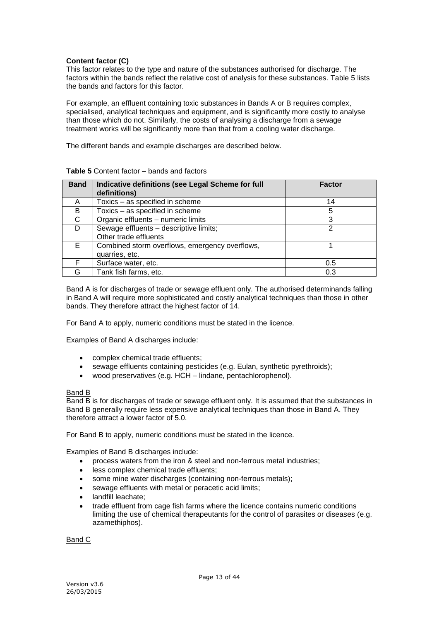#### **Content factor (C)**

This factor relates to the type and nature of the substances authorised for discharge. The factors within the bands reflect the relative cost of analysis for these substances. Table 5 lists the bands and factors for this factor.

For example, an effluent containing toxic substances in Bands A or B requires complex, specialised, analytical techniques and equipment, and is significantly more costly to analyse than those which do not. Similarly, the costs of analysing a discharge from a sewage treatment works will be significantly more than that from a cooling water discharge.

The different bands and example discharges are described below.

| <b>Band</b> | Indicative definitions (see Legal Scheme for full<br>definitions) | <b>Factor</b> |
|-------------|-------------------------------------------------------------------|---------------|
| A           | Toxics - as specified in scheme                                   | 14            |
| B           | Toxics - as specified in scheme                                   | 5             |
| C           | Organic effluents - numeric limits                                | 3             |
|             | Sewage effluents - descriptive limits;                            | າ             |
|             | Other trade effluents                                             |               |
| E.          | Combined storm overflows, emergency overflows,                    |               |
|             | quarries, etc.                                                    |               |
|             | Surface water, etc.                                               | 0.5           |
| G           | Tank fish farms, etc.                                             | 0.3           |

#### **Table 5** Content factor – bands and factors

Band A is for discharges of trade or sewage effluent only. The authorised determinands falling in Band A will require more sophisticated and costly analytical techniques than those in other bands. They therefore attract the highest factor of 14.

For Band A to apply, numeric conditions must be stated in the licence.

Examples of Band A discharges include:

- complex chemical trade effluents;
- sewage effluents containing pesticides (e.g. Eulan, synthetic pyrethroids);
- wood preservatives (e.g. HCH lindane, pentachlorophenol).

#### Band B

Band B is for discharges of trade or sewage effluent only. It is assumed that the substances in Band B generally require less expensive analytical techniques than those in Band A. They therefore attract a lower factor of 5.0.

For Band B to apply, numeric conditions must be stated in the licence.

Examples of Band B discharges include:

- process waters from the iron & steel and non-ferrous metal industries;
- less complex chemical trade effluents;
- some mine water discharges (containing non-ferrous metals);
- sewage effluents with metal or peracetic acid limits;
- landfill leachate;
- trade effluent from cage fish farms where the licence contains numeric conditions limiting the use of chemical therapeutants for the control of parasites or diseases (e.g. azamethiphos).

Band C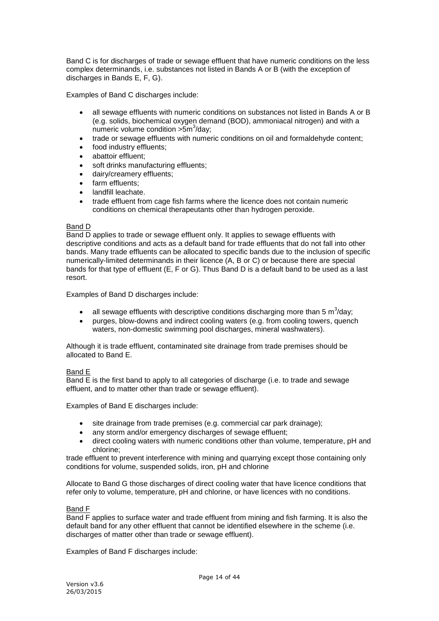Band C is for discharges of trade or sewage effluent that have numeric conditions on the less complex determinands, i.e. substances not listed in Bands A or B (with the exception of discharges in Bands E, F, G).

Examples of Band C discharges include:

- all sewage effluents with numeric conditions on substances not listed in Bands A or B (e.g. solids, biochemical oxygen demand (BOD), ammoniacal nitrogen) and with a numeric volume condition >5m<sup>3</sup>/day;
- trade or sewage effluents with numeric conditions on oil and formaldehyde content;
- food industry effluents;
- abattoir effluent;
- soft drinks manufacturing effluents;
- dairy/creamery effluents;
- farm effluents:
- landfill leachate.
- trade effluent from cage fish farms where the licence does not contain numeric conditions on chemical therapeutants other than hydrogen peroxide.

#### Band D

Band D applies to trade or sewage effluent only. It applies to sewage effluents with descriptive conditions and acts as a default band for trade effluents that do not fall into other bands. Many trade effluents can be allocated to specific bands due to the inclusion of specific numerically-limited determinands in their licence (A, B or C) or because there are special bands for that type of effluent (E, F or G). Thus Band D is a default band to be used as a last resort.

Examples of Band D discharges include:

- all sewage effluents with descriptive conditions discharging more than 5 m<sup>3</sup>/day;
- purges, blow-downs and indirect cooling waters (e.g. from cooling towers, quench waters, non-domestic swimming pool discharges, mineral washwaters).

Although it is trade effluent, contaminated site drainage from trade premises should be allocated to Band E.

#### Band E

Band E is the first band to apply to all categories of discharge (i.e. to trade and sewage effluent, and to matter other than trade or sewage effluent).

Examples of Band E discharges include:

- site drainage from trade premises (e.g. commercial car park drainage);
- any storm and/or emergency discharges of sewage effluent;
- direct cooling waters with numeric conditions other than volume, temperature, pH and chlorine;

trade effluent to prevent interference with mining and quarrying except those containing only conditions for volume, suspended solids, iron, pH and chlorine

Allocate to Band G those discharges of direct cooling water that have licence conditions that refer only to volume, temperature, pH and chlorine, or have licences with no conditions.

#### Band F

Band F applies to surface water and trade effluent from mining and fish farming. It is also the default band for any other effluent that cannot be identified elsewhere in the scheme (i.e. discharges of matter other than trade or sewage effluent).

Examples of Band F discharges include: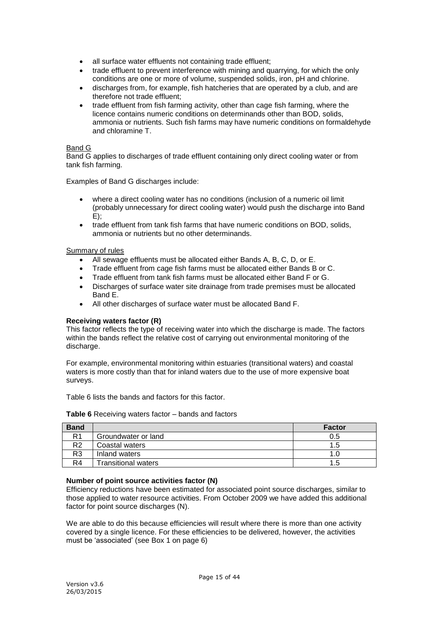- all surface water effluents not containing trade effluent;
- trade effluent to prevent interference with mining and quarrying, for which the only conditions are one or more of volume, suspended solids, iron, pH and chlorine.
- discharges from, for example, fish hatcheries that are operated by a club, and are therefore not trade effluent;
- trade effluent from fish farming activity, other than cage fish farming, where the licence contains numeric conditions on determinands other than BOD, solids, ammonia or nutrients. Such fish farms may have numeric conditions on formaldehyde and chloramine T.

#### Band G

Band G applies to discharges of trade effluent containing only direct cooling water or from tank fish farming.

Examples of Band G discharges include:

- where a direct cooling water has no conditions (inclusion of a numeric oil limit (probably unnecessary for direct cooling water) would push the discharge into Band  $E$ ):
- trade effluent from tank fish farms that have numeric conditions on BOD, solids, ammonia or nutrients but no other determinands.

#### Summary of rules

- All sewage effluents must be allocated either Bands A, B, C, D, or E.
- Trade effluent from cage fish farms must be allocated either Bands B or C.
- Trade effluent from tank fish farms must be allocated either Band F or G.
- Discharges of surface water site drainage from trade premises must be allocated Band E.
- All other discharges of surface water must be allocated Band F.

## **Receiving waters factor (R)**

This factor reflects the type of receiving water into which the discharge is made. The factors within the bands reflect the relative cost of carrying out environmental monitoring of the discharge.

For example, environmental monitoring within estuaries (transitional waters) and coastal waters is more costly than that for inland waters due to the use of more expensive boat surveys.

Table 6 lists the bands and factors for this factor.

| <b>Band</b>    |                            | <b>Factor</b> |
|----------------|----------------------------|---------------|
| R1             | Groundwater or land        | 0.5           |
| R <sub>2</sub> | Coastal waters             | 1.5           |
| R3             | Inland waters              | 1.0           |
| R <sub>4</sub> | <b>Transitional waters</b> | 1.5           |

**Table 6** Receiving waters factor – bands and factors

#### **Number of point source activities factor (N)**

Efficiency reductions have been estimated for associated point source discharges, similar to those applied to water resource activities. From October 2009 we have added this additional factor for point source discharges (N).

We are able to do this because efficiencies will result where there is more than one activity covered by a single licence. For these efficiencies to be delivered, however, the activities must be 'associated' (see Box 1 on page 6)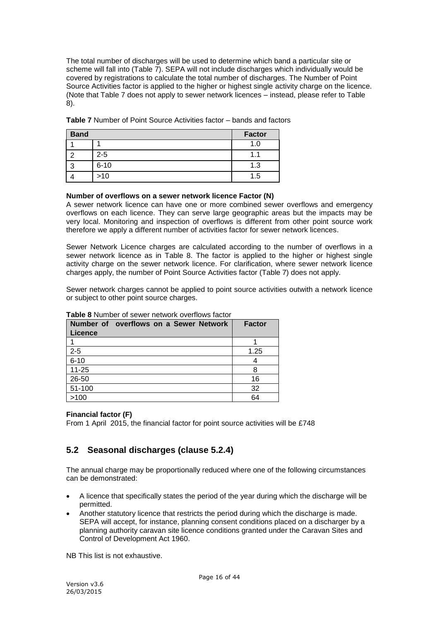The total number of discharges will be used to determine which band a particular site or scheme will fall into (Table 7). SEPA will not include discharges which individually would be covered by registrations to calculate the total number of discharges. The Number of Point Source Activities factor is applied to the higher or highest single activity charge on the licence. (Note that Table 7 does not apply to sewer network licences – instead, please refer to Table 8).

| <b>Band</b> |          | <b>Factor</b> |
|-------------|----------|---------------|
|             |          | 1.0           |
|             | $2 - 5$  | 1.1           |
|             | $6 - 10$ | 1.3           |
|             | $>10$    | 1.5           |

**Table 7** Number of Point Source Activities factor – bands and factors

## **Number of overflows on a sewer network licence Factor (N)**

A sewer network licence can have one or more combined sewer overflows and emergency overflows on each licence. They can serve large geographic areas but the impacts may be very local. Monitoring and inspection of overflows is different from other point source work therefore we apply a different number of activities factor for sewer network licences.

Sewer Network Licence charges are calculated according to the number of overflows in a sewer network licence as in Table 8. The factor is applied to the higher or highest single activity charge on the sewer network licence. For clarification, where sewer network licence charges apply, the number of Point Source Activities factor (Table 7) does not apply.

Sewer network charges cannot be applied to point source activities outwith a network licence or subject to other point source charges.

| Number of overflows on a Sewer Network<br><b>Licence</b> | <b>Factor</b> |
|----------------------------------------------------------|---------------|
|                                                          |               |
| $2 - 5$                                                  | 1.25          |
| $6 - 10$                                                 | 4             |
| $11 - 25$                                                | 8             |
| 26-50                                                    | 16            |
| 51-100                                                   | 32            |
| >100                                                     | 64            |

#### **Table 8** Number of sewer network overflows factor

## **Financial factor (F)**

From 1 April 2015, the financial factor for point source activities will be £748

# <span id="page-15-0"></span>**5.2 Seasonal discharges (clause 5.2.4)**

The annual charge may be proportionally reduced where one of the following circumstances can be demonstrated:

- A licence that specifically states the period of the year during which the discharge will be permitted.
- Another statutory licence that restricts the period during which the discharge is made. SEPA will accept, for instance, planning consent conditions placed on a discharger by a planning authority caravan site licence conditions granted under the Caravan Sites and Control of Development Act 1960.

NB This list is not exhaustive.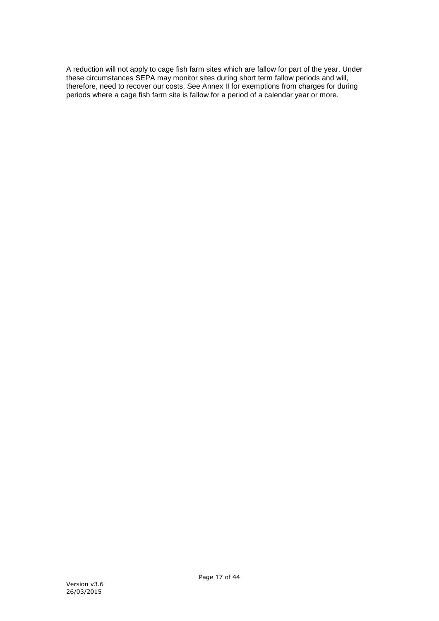A reduction will not apply to cage fish farm sites which are fallow for part of the year. Under these circumstances SEPA may monitor sites during short term fallow periods and will, therefore, need to recover our costs. See Annex II for exemptions from charges for during periods where a cage fish farm site is fallow for a period of a calendar year or more.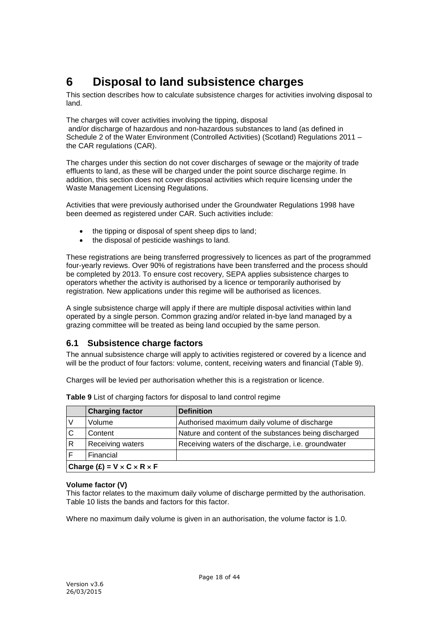# <span id="page-17-0"></span>**6 Disposal to land subsistence charges**

This section describes how to calculate subsistence charges for activities involving disposal to land.

The charges will cover activities involving the tipping, disposal and/or discharge of hazardous and non-hazardous substances to land (as defined in Schedule 2 of the Water Environment (Controlled Activities) (Scotland) Regulations 2011 – the CAR regulations (CAR).

The charges under this section do not cover discharges of sewage or the majority of trade effluents to land, as these will be charged under the point source discharge regime. In addition, this section does not cover disposal activities which require licensing under the Waste Management Licensing Regulations.

Activities that were previously authorised under the Groundwater Regulations 1998 have been deemed as registered under CAR. Such activities include:

- the tipping or disposal of spent sheep dips to land;
- the disposal of pesticide washings to land.

These registrations are being transferred progressively to licences as part of the programmed four-yearly reviews. Over 90% of registrations have been transferred and the process should be completed by 2013. To ensure cost recovery, SEPA applies subsistence charges to operators whether the activity is authorised by a licence or temporarily authorised by registration. New applications under this regime will be authorised as licences.

A single subsistence charge will apply if there are multiple disposal activities within land operated by a single person. Common grazing and/or related in-bye land managed by a grazing committee will be treated as being land occupied by the same person.

# <span id="page-17-1"></span>**6.1 Subsistence charge factors**

The annual subsistence charge will apply to activities registered or covered by a licence and will be the product of four factors: volume, content, receiving waters and financial (Table 9).

Charges will be levied per authorisation whether this is a registration or licence.

|   | <b>Charging factor</b>                      | <b>Definition</b>                                     |  |
|---|---------------------------------------------|-------------------------------------------------------|--|
|   | Volume                                      | Authorised maximum daily volume of discharge          |  |
| C | Content                                     | Nature and content of the substances being discharged |  |
| R | Receiving waters                            | Receiving waters of the discharge, i.e. groundwater   |  |
|   | Financial                                   |                                                       |  |
|   | Charge $(E) = V \times C \times R \times F$ |                                                       |  |

**Table 9** List of charging factors for disposal to land control regime

#### **Volume factor (V)**

This factor relates to the maximum daily volume of discharge permitted by the authorisation. Table 10 lists the bands and factors for this factor.

Where no maximum daily volume is given in an authorisation, the volume factor is 1.0.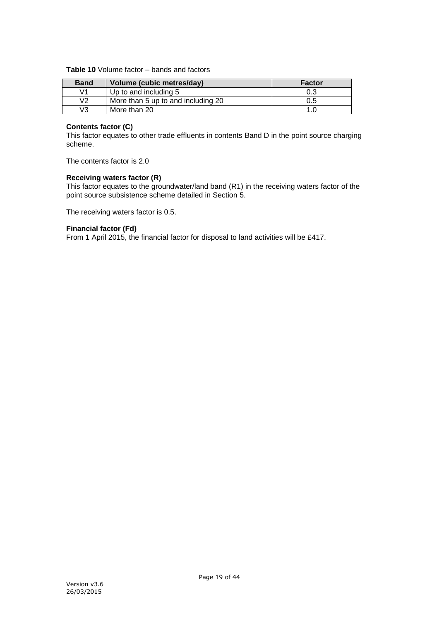## **Table 10** Volume factor – bands and factors

| <b>Band</b> | Volume (cubic metres/day)          | <b>Factor</b> |
|-------------|------------------------------------|---------------|
| ۷1          | Up to and including 5              | 0.3           |
| V2          | More than 5 up to and including 20 | 0.5           |
| V3          | More than 20                       |               |

## **Contents factor (C)**

This factor equates to other trade effluents in contents Band D in the point source charging scheme.

The contents factor is 2.0

## **Receiving waters factor (R)**

This factor equates to the groundwater/land band (R1) in the receiving waters factor of the point source subsistence scheme detailed in Section 5.

The receiving waters factor is 0.5.

#### **Financial factor (Fd)**

From 1 April 2015, the financial factor for disposal to land activities will be £417.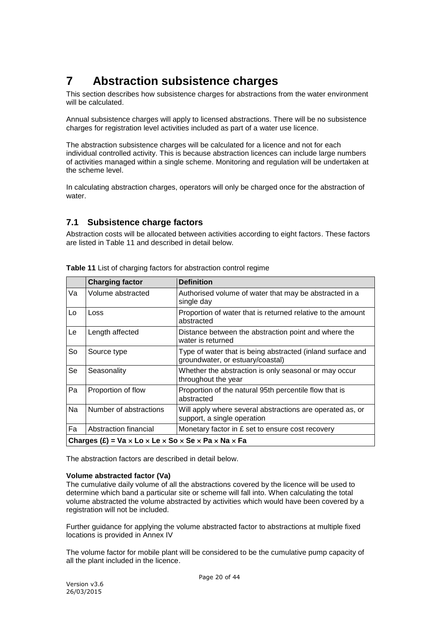# <span id="page-19-0"></span>**7 Abstraction subsistence charges**

This section describes how subsistence charges for abstractions from the water environment will be calculated.

Annual subsistence charges will apply to licensed abstractions. There will be no subsistence charges for registration level activities included as part of a water use licence.

The abstraction subsistence charges will be calculated for a licence and not for each individual controlled activity. This is because abstraction licences can include large numbers of activities managed within a single scheme. Monitoring and regulation will be undertaken at the scheme level.

In calculating abstraction charges, operators will only be charged once for the abstraction of water.

# <span id="page-19-1"></span>**7.1 Subsistence charge factors**

Abstraction costs will be allocated between activities according to eight factors. These factors are listed in Table 11 and described in detail below.

|    | <b>Charging factor</b>                                | <b>Definition</b>                                                                              |  |  |
|----|-------------------------------------------------------|------------------------------------------------------------------------------------------------|--|--|
| Va | Volume abstracted                                     | Authorised volume of water that may be abstracted in a<br>single day                           |  |  |
| Lo | Loss                                                  | Proportion of water that is returned relative to the amount<br>abstracted                      |  |  |
| Le | Length affected                                       | Distance between the abstraction point and where the<br>water is returned                      |  |  |
| So | Source type                                           | Type of water that is being abstracted (inland surface and<br>groundwater, or estuary/coastal) |  |  |
| Se | Seasonality                                           | Whether the abstraction is only seasonal or may occur<br>throughout the year                   |  |  |
| Pa | Proportion of flow                                    | Proportion of the natural 95th percentile flow that is<br>abstracted                           |  |  |
| Na | Number of abstractions                                | Will apply where several abstractions are operated as, or<br>support, a single operation       |  |  |
| Fa | Abstraction financial                                 | Monetary factor in £ set to ensure cost recovery                                               |  |  |
|    | Charges $(E)$ = Va x Lo x Le x So x Se x Pa x Na x Fa |                                                                                                |  |  |

**Table 11** List of charging factors for abstraction control regime

The abstraction factors are described in detail below.

#### **Volume abstracted factor (Va)**

The cumulative daily volume of all the abstractions covered by the licence will be used to determine which band a particular site or scheme will fall into. When calculating the total volume abstracted the volume abstracted by activities which would have been covered by a registration will not be included.

Further guidance for applying the volume abstracted factor to abstractions at multiple fixed locations is provided in Annex IV

The volume factor for mobile plant will be considered to be the cumulative pump capacity of all the plant included in the licence.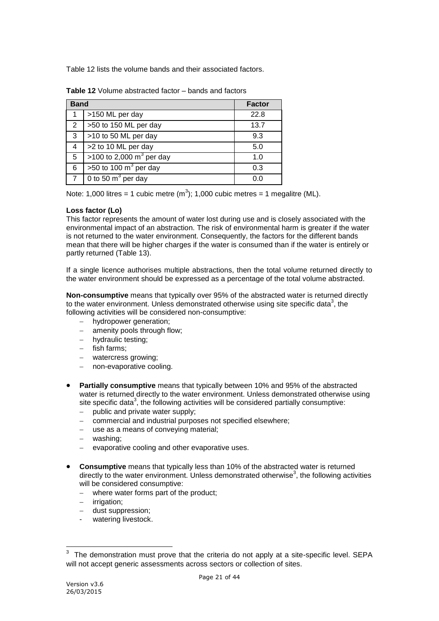Table 12 lists the volume bands and their associated factors.

| <b>Band</b>          |                                     | <b>Factor</b> |
|----------------------|-------------------------------------|---------------|
|                      | >150 ML per day                     | 22.8          |
| $\mathbf{2}^{\circ}$ | >50 to 150 ML per day               | 13.7          |
| 3                    | >10 to 50 ML per day                | 9.3           |
| 4                    | >2 to 10 ML per day                 | 5.0           |
| 5                    | >100 to 2,000 $m^3$ per day         | 1.0           |
| 6                    | $>50$ to 100 m <sup>3</sup> per day | 0.3           |
| $\overline{7}$       | 0 to 50 $\text{m}^3$ per day        | 0.f           |

**Table 12** Volume abstracted factor – bands and factors

Note: 1,000 litres = 1 cubic metre  $(m^3)$ ; 1,000 cubic metres = 1 megalitre (ML).

## **Loss factor (Lo)**

This factor represents the amount of water lost during use and is closely associated with the environmental impact of an abstraction. The risk of environmental harm is greater if the water is not returned to the water environment. Consequently, the factors for the different bands mean that there will be higher charges if the water is consumed than if the water is entirely or partly returned (Table 13).

If a single licence authorises multiple abstractions, then the total volume returned directly to the water environment should be expressed as a percentage of the total volume abstracted.

**Non-consumptive** means that typically over 95% of the abstracted water is returned directly to the water environment. Unless demonstrated otherwise using site specific data<sup>3</sup>, the following activities will be considered non-consumptive:

- hydropower generation;
- amenity pools through flow;
- hydraulic testing;
- $-$  fish farms;
- watercress growing;
- non-evaporative cooling.
- **Partially consumptive** means that typically between 10% and 95% of the abstracted water is returned directly to the water environment. Unless demonstrated otherwise using site specific data<sup>3</sup>, the following activities will be considered partially consumptive:
	- $-$  public and private water supply;
	- commercial and industrial purposes not specified elsewhere;
	- use as a means of conveying material;
	- washing;
	- evaporative cooling and other evaporative uses.
- **Consumptive** means that typically less than 10% of the abstracted water is returned directly to the water environment. Unless demonstrated otherwise<sup>3</sup>, the following activities will be considered consumptive:
	- where water forms part of the product;
	- irrigation;
	- dust suppression;
	- watering livestock.

1

<sup>3</sup> The demonstration must prove that the criteria do not apply at a site-specific level. SEPA will not accept generic assessments across sectors or collection of sites.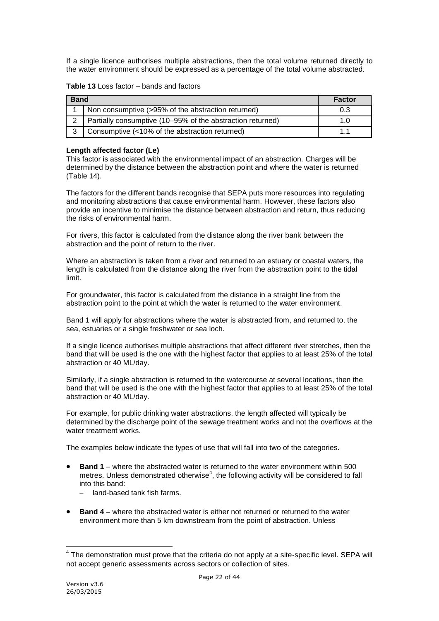If a single licence authorises multiple abstractions, then the total volume returned directly to the water environment should be expressed as a percentage of the total volume abstracted.

## **Table 13** Loss factor – bands and factors

| <b>Band</b> | <b>Factor</b>                                              |     |
|-------------|------------------------------------------------------------|-----|
|             | Non consumptive (>95% of the abstraction returned)         | 0.3 |
| 2           | Partially consumptive (10–95% of the abstraction returned) | 1.U |
| $\sim$      | Consumptive (<10% of the abstraction returned)             |     |

#### **Length affected factor (Le)**

This factor is associated with the environmental impact of an abstraction. Charges will be determined by the distance between the abstraction point and where the water is returned (Table 14).

The factors for the different bands recognise that SEPA puts more resources into regulating and monitoring abstractions that cause environmental harm. However, these factors also provide an incentive to minimise the distance between abstraction and return, thus reducing the risks of environmental harm.

For rivers, this factor is calculated from the distance along the river bank between the abstraction and the point of return to the river.

Where an abstraction is taken from a river and returned to an estuary or coastal waters, the length is calculated from the distance along the river from the abstraction point to the tidal limit.

For groundwater, this factor is calculated from the distance in a straight line from the abstraction point to the point at which the water is returned to the water environment.

Band 1 will apply for abstractions where the water is abstracted from, and returned to, the sea, estuaries or a single freshwater or sea loch.

If a single licence authorises multiple abstractions that affect different river stretches, then the band that will be used is the one with the highest factor that applies to at least 25% of the total abstraction or 40 ML/day.

Similarly, if a single abstraction is returned to the watercourse at several locations, then the band that will be used is the one with the highest factor that applies to at least 25% of the total abstraction or 40 ML/day.

For example, for public drinking water abstractions, the length affected will typically be determined by the discharge point of the sewage treatment works and not the overflows at the water treatment works.

The examples below indicate the types of use that will fall into two of the categories.

- **Band 1** where the abstracted water is returned to the water environment within 500 metres. Unless demonstrated otherwise<sup>4</sup>, the following activity will be considered to fall into this band:
	- land-based tank fish farms.
- **Band 4** where the abstracted water is either not returned or returned to the water environment more than 5 km downstream from the point of abstraction. Unless

1

 $4$  The demonstration must prove that the criteria do not apply at a site-specific level. SEPA will not accept generic assessments across sectors or collection of sites.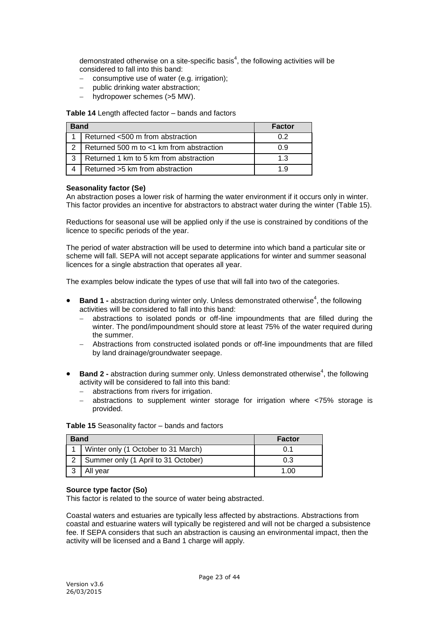demonstrated otherwise on a site-specific basis<sup>4</sup>, the following activities will be considered to fall into this band:

- consumptive use of water (e.g. irrigation);
- public drinking water abstraction;
- hydropower schemes (>5 MW).

#### **Table 14** Length affected factor – bands and factors

| <b>Band</b>   |                                          | <b>Factor</b> |
|---------------|------------------------------------------|---------------|
|               | Returned <500 m from abstraction         | 0.2           |
| $\mathcal{P}$ | Returned 500 m to <1 km from abstraction | ი 9           |
| 3             | Returned 1 km to 5 km from abstraction   | 1.3           |
|               | Returned >5 km from abstraction          | 1 Q           |

## **Seasonality factor (Se)**

An abstraction poses a lower risk of harming the water environment if it occurs only in winter. This factor provides an incentive for abstractors to abstract water during the winter (Table 15).

Reductions for seasonal use will be applied only if the use is constrained by conditions of the licence to specific periods of the year.

The period of water abstraction will be used to determine into which band a particular site or scheme will fall. SEPA will not accept separate applications for winter and summer seasonal licences for a single abstraction that operates all year.

The examples below indicate the types of use that will fall into two of the categories.

- Band 1 abstraction during winter only. Unless demonstrated otherwise<sup>4</sup>, the following activities will be considered to fall into this band:
	- abstractions to isolated ponds or off-line impoundments that are filled during the winter. The pond/impoundment should store at least 75% of the water required during the summer.
	- Abstractions from constructed isolated ponds or off-line impoundments that are filled by land drainage/groundwater seepage.
- **Band 2 -** abstraction during summer only. Unless demonstrated otherwise<sup>4</sup>, the following activity will be considered to fall into this band:
	- abstractions from rivers for irrigation.
	- abstractions to supplement winter storage for irrigation where <75% storage is provided.

| <b>Band</b> |                                     | <b>Factor</b> |
|-------------|-------------------------------------|---------------|
|             | Winter only (1 October to 31 March) | 0.1           |
|             | Summer only (1 April to 31 October) | 0.3           |
|             | All year                            | 1 በበ          |

**Table 15** Seasonality factor – bands and factors

## **Source type factor (So)**

This factor is related to the source of water being abstracted.

Coastal waters and estuaries are typically less affected by abstractions. Abstractions from coastal and estuarine waters will typically be registered and will not be charged a subsistence fee. If SEPA considers that such an abstraction is causing an environmental impact, then the activity will be licensed and a Band 1 charge will apply.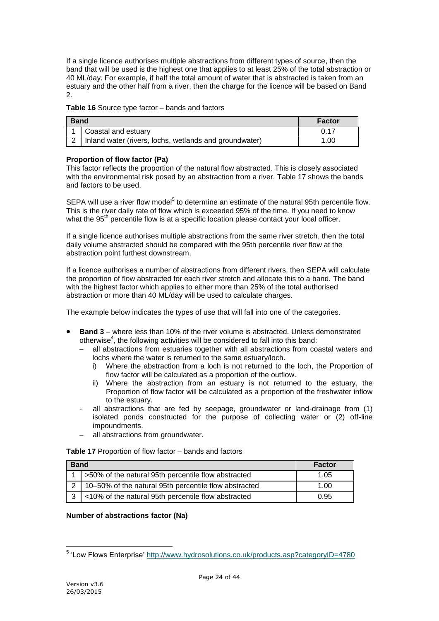If a single licence authorises multiple abstractions from different types of source, then the band that will be used is the highest one that applies to at least 25% of the total abstraction or 40 ML/day. For example, if half the total amount of water that is abstracted is taken from an estuary and the other half from a river, then the charge for the licence will be based on Band 2.

#### **Table 16** Source type factor – bands and factors

| <b>Band</b> |                                                        | <b>Factor</b> |
|-------------|--------------------------------------------------------|---------------|
|             | Coastal and estuary                                    | 0.17          |
|             | Inland water (rivers, lochs, wetlands and groundwater) | 1.00          |

#### **Proportion of flow factor (Pa)**

This factor reflects the proportion of the natural flow abstracted. This is closely associated with the environmental risk posed by an abstraction from a river. Table 17 shows the bands and factors to be used.

SEPA will use a river flow model<sup>5</sup> to determine an estimate of the natural 95th percentile flow. This is the river daily rate of flow which is exceeded 95% of the time. If you need to know what the 95<sup>th</sup> percentile flow is at a specific location please contact your local officer.

If a single licence authorises multiple abstractions from the same river stretch, then the total daily volume abstracted should be compared with the 95th percentile river flow at the abstraction point furthest downstream.

If a licence authorises a number of abstractions from different rivers, then SEPA will calculate the proportion of flow abstracted for each river stretch and allocate this to a band. The band with the highest factor which applies to either more than 25% of the total authorised abstraction or more than 40 ML/day will be used to calculate charges.

The example below indicates the types of use that will fall into one of the categories.

- **Band 3** where less than 10% of the river volume is abstracted. Unless demonstrated otherwise<sup>4</sup>, the following activities will be considered to fall into this band:
	- all abstractions from estuaries together with all abstractions from coastal waters and lochs where the water is returned to the same estuary/loch.
		- i) Where the abstraction from a loch is not returned to the loch, the Proportion of flow factor will be calculated as a proportion of the outflow.
		- ii) Where the abstraction from an estuary is not returned to the estuary, the Proportion of flow factor will be calculated as a proportion of the freshwater inflow to the estuary.
	- all abstractions that are fed by seepage, groundwater or land-drainage from (1) isolated ponds constructed for the purpose of collecting water or (2) off-line impoundments.
	- all abstractions from groundwater.

| Table 17 Proportion of flow factor - bands and factors |
|--------------------------------------------------------|
|--------------------------------------------------------|

| <b>Band</b> |                                                           | <b>Factor</b> |
|-------------|-----------------------------------------------------------|---------------|
|             | 1   >50% of the natural 95th percentile flow abstracted   | 1.05          |
|             | 2   10-50% of the natural 95th percentile flow abstracted | 1.00          |
|             | <10% of the natural 95th percentile flow abstracted       | 0.95          |

## **Number of abstractions factor (Na)**

 5 'Low Flows Enterprise'<http://www.hydrosolutions.co.uk/products.asp?categoryID=4780>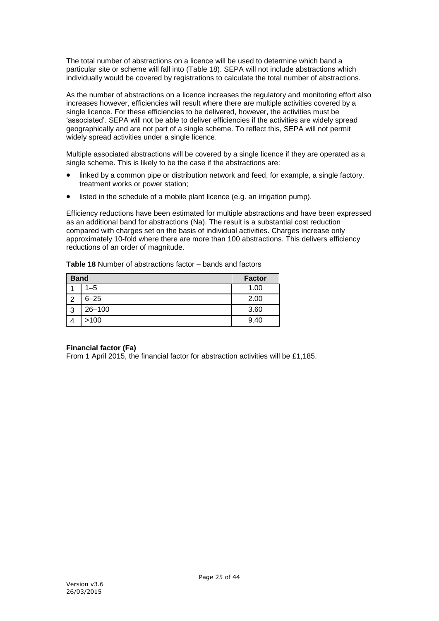The total number of abstractions on a licence will be used to determine which band a particular site or scheme will fall into (Table 18). SEPA will not include abstractions which individually would be covered by registrations to calculate the total number of abstractions.

As the number of abstractions on a licence increases the regulatory and monitoring effort also increases however, efficiencies will result where there are multiple activities covered by a single licence. For these efficiencies to be delivered, however, the activities must be 'associated'. SEPA will not be able to deliver efficiencies if the activities are widely spread geographically and are not part of a single scheme. To reflect this, SEPA will not permit widely spread activities under a single licence.

Multiple associated abstractions will be covered by a single licence if they are operated as a single scheme. This is likely to be the case if the abstractions are:

- linked by a common pipe or distribution network and feed, for example, a single factory, treatment works or power station;
- listed in the schedule of a mobile plant licence (e.g. an irrigation pump).

Efficiency reductions have been estimated for multiple abstractions and have been expressed as an additional band for abstractions (Na). The result is a substantial cost reduction compared with charges set on the basis of individual activities. Charges increase only approximately 10-fold where there are more than 100 abstractions. This delivers efficiency reductions of an order of magnitude.

**Table 18** Number of abstractions factor – bands and factors

| <b>Band</b> |            | <b>Factor</b> |
|-------------|------------|---------------|
|             | $1 - 5$    | 1.00          |
| ົ           | $6 - 25$   | 2.00          |
| 3           | $26 - 100$ | 3.60          |
|             | >100       | 9.40          |

## **Financial factor (Fa)**

From 1 April 2015, the financial factor for abstraction activities will be £1,185.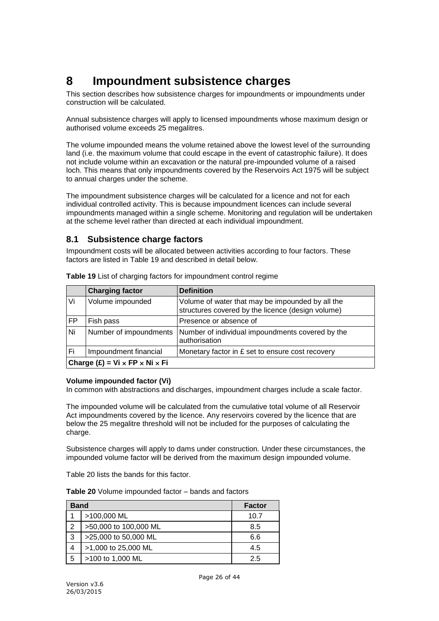# <span id="page-25-0"></span>**8 Impoundment subsistence charges**

This section describes how subsistence charges for impoundments or impoundments under construction will be calculated.

Annual subsistence charges will apply to licensed impoundments whose maximum design or authorised volume exceeds 25 megalitres.

The volume impounded means the volume retained above the lowest level of the surrounding land (i.e. the maximum volume that could escape in the event of catastrophic failure). It does not include volume within an excavation or the natural pre-impounded volume of a raised loch. This means that only impoundments covered by the Reservoirs Act 1975 will be subject to annual charges under the scheme.

The impoundment subsistence charges will be calculated for a licence and not for each individual controlled activity. This is because impoundment licences can include several impoundments managed within a single scheme. Monitoring and regulation will be undertaken at the scheme level rather than directed at each individual impoundment.

# <span id="page-25-1"></span>**8.1 Subsistence charge factors**

Impoundment costs will be allocated between activities according to four factors. These factors are listed in Table 19 and described in detail below.

|           | <b>Charging factor</b>                                | <b>Definition</b>                                                                                     |  |
|-----------|-------------------------------------------------------|-------------------------------------------------------------------------------------------------------|--|
| Vi        | Volume impounded                                      | Volume of water that may be impounded by all the<br>structures covered by the licence (design volume) |  |
| <b>FP</b> | Fish pass                                             | Presence or absence of                                                                                |  |
| Ni        | Number of impoundments                                | Number of individual impoundments covered by the<br>authorisation                                     |  |
| Fi        | Impoundment financial                                 | Monetary factor in £ set to ensure cost recovery                                                      |  |
|           | Charge $(E)$ = Vi $\times$ FP $\times$ Ni $\times$ Fi |                                                                                                       |  |

**Table 19** List of charging factors for impoundment control regime

#### **Volume impounded factor (Vi)**

In common with abstractions and discharges, impoundment charges include a scale factor.

The impounded volume will be calculated from the cumulative total volume of all Reservoir Act impoundments covered by the licence. Any reservoirs covered by the licence that are below the 25 megalitre threshold will not be included for the purposes of calculating the charge.

Subsistence charges will apply to dams under construction. Under these circumstances, the impounded volume factor will be derived from the maximum design impounded volume.

Table 20 lists the bands for this factor.

|  |  |  | <b>Table 20</b> Volume impounded factor – bands and factors |
|--|--|--|-------------------------------------------------------------|
|--|--|--|-------------------------------------------------------------|

| <b>Band</b> |                       | <b>Factor</b> |
|-------------|-----------------------|---------------|
|             | >100,000 ML           | 10.7          |
| 2           | >50,000 to 100,000 ML | 8.5           |
| 3           | >25,000 to 50,000 ML  | 6.6           |
| 4           | >1,000 to 25,000 ML   | 4.5           |
| 5           | >100 to 1,000 ML      | 25            |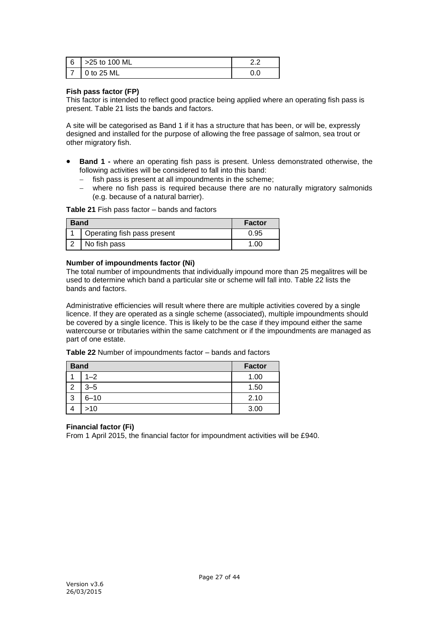| 6 | >25 to 100 ML  |  |
|---|----------------|--|
|   | $\sqrt{25}$ ML |  |

## **Fish pass factor (FP)**

This factor is intended to reflect good practice being applied where an operating fish pass is present. Table 21 lists the bands and factors.

A site will be categorised as Band 1 if it has a structure that has been, or will be, expressly designed and installed for the purpose of allowing the free passage of salmon, sea trout or other migratory fish.

- **Band 1 -** where an operating fish pass is present. Unless demonstrated otherwise, the following activities will be considered to fall into this band:
	- $-$  fish pass is present at all impoundments in the scheme;
	- where no fish pass is required because there are no naturally migratory salmonids (e.g. because of a natural barrier).

#### **Table 21** Fish pass factor – bands and factors

| <b>Band</b> |                             | <b>Factor</b> |
|-------------|-----------------------------|---------------|
|             | Operating fish pass present | 0.95          |
|             | No fish pass                | .00           |

#### **Number of impoundments factor (Ni)**

The total number of impoundments that individually impound more than 25 megalitres will be used to determine which band a particular site or scheme will fall into. Table 22 lists the bands and factors.

Administrative efficiencies will result where there are multiple activities covered by a single licence. If they are operated as a single scheme (associated), multiple impoundments should be covered by a single licence. This is likely to be the case if they impound either the same watercourse or tributaries within the same catchment or if the impoundments are managed as part of one estate.

**Table 22** Number of impoundments factor – bands and factors

| <b>Band</b> |          | <b>Factor</b> |
|-------------|----------|---------------|
|             | $1 - 2$  | 1.00          |
| っ           | $3 - 5$  | 1.50          |
| 3           | $6 - 10$ | 2.10          |
|             | >10      | 3.00          |

## **Financial factor (Fi)**

From 1 April 2015, the financial factor for impoundment activities will be £940.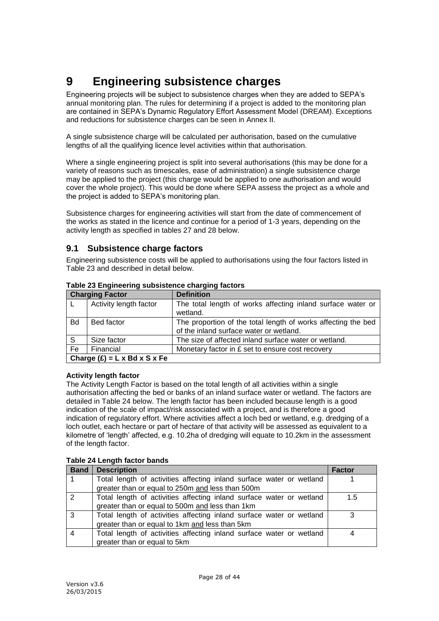# <span id="page-27-0"></span>**9 Engineering subsistence charges**

Engineering projects will be subject to subsistence charges when they are added to SEPA's annual monitoring plan. The rules for determining if a project is added to the monitoring plan are contained in SEPA's Dynamic Regulatory Effort Assessment Model (DREAM). Exceptions and reductions for subsistence charges can be seen in Annex II.

A single subsistence charge will be calculated per authorisation, based on the cumulative lengths of all the qualifying licence level activities within that authorisation.

Where a single engineering project is split into several authorisations (this may be done for a variety of reasons such as timescales, ease of administration) a single subsistence charge may be applied to the project (this charge would be applied to one authorisation and would cover the whole project). This would be done where SEPA assess the project as a whole and the project is added to SEPA's monitoring plan.

Subsistence charges for engineering activities will start from the date of commencement of the works as stated in the licence and continue for a period of 1-3 years, depending on the activity length as specified in tables 27 and 28 below.

## <span id="page-27-1"></span>**9.1 Subsistence charge factors**

Engineering subsistence costs will be applied to authorisations using the four factors listed in Table 23 and described in detail below.

| <b>Charging Factor</b>                                                                        |                        | <b>Definition</b>                                             |
|-----------------------------------------------------------------------------------------------|------------------------|---------------------------------------------------------------|
|                                                                                               | Activity length factor | The total length of works affecting inland surface water or   |
|                                                                                               |                        | wetland.                                                      |
| <b>Bd</b>                                                                                     | Bed factor             | The proportion of the total length of works affecting the bed |
|                                                                                               |                        | of the inland surface water or wetland.                       |
| S                                                                                             | Size factor            | The size of affected inland surface water or wetland.         |
| Fe                                                                                            | Financial              | Monetary factor in £ set to ensure cost recovery              |
| $O_{\text{heven}}(0)$ $\rightarrow$ $D_{\text{deven}}(0)$ $\rightarrow$ $D_{\text{deven}}(0)$ |                        |                                                               |

## **Table 23 Engineering subsistence charging factors**

**Charge (£) = L x Bd x S x Fe**

## **Activity length factor**

The Activity Length Factor is based on the total length of all activities within a single authorisation affecting the bed or banks of an inland surface water or wetland. The factors are detailed in Table 24 below. The length factor has been included because length is a good indication of the scale of impact/risk associated with a project, and is therefore a good indication of regulatory effort. Where activities affect a loch bed or wetland, e.g. dredging of a loch outlet, each hectare or part of hectare of that activity will be assessed as equivalent to a kilometre of 'length' affected, e.g. 10.2ha of dredging will equate to 10.2km in the assessment of the length factor.

## **Table 24 Length factor bands**

| <b>Band</b> | <b>Description</b>                                                   | <b>Factor</b> |
|-------------|----------------------------------------------------------------------|---------------|
|             | Total length of activities affecting inland surface water or wetland |               |
|             | greater than or equal to 250m and less than 500m                     |               |
| 2           | Total length of activities affecting inland surface water or wetland | 1.5           |
|             | greater than or equal to 500m and less than 1km                      |               |
| 3           | Total length of activities affecting inland surface water or wetland | 3             |
|             | greater than or equal to 1km and less than 5km                       |               |
|             | Total length of activities affecting inland surface water or wetland | 4             |
|             | greater than or equal to 5km                                         |               |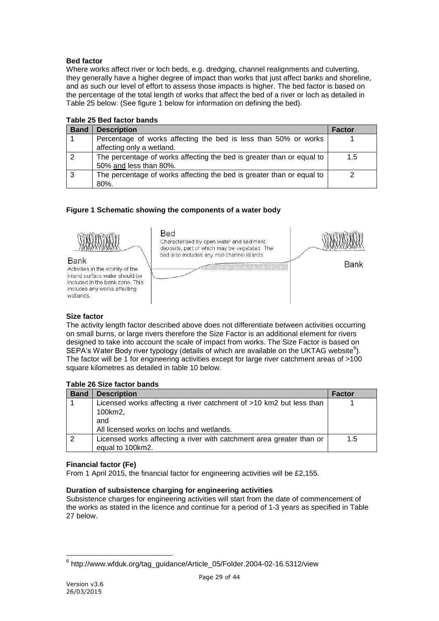## **Bed factor**

Where works affect river or loch beds, e.g. dredging, channel realignments and culverting, they generally have a higher degree of impact than works that just affect banks and shoreline, and as such our level of effort to assess those impacts is higher. The bed factor is based on the percentage of the total length of works that affect the bed of a river or loch as detailed in Table 25 below. (See figure 1 below for information on defining the bed).

| <b>Band</b> | <b>Description</b>                                                                              | Factor |
|-------------|-------------------------------------------------------------------------------------------------|--------|
|             | Percentage of works affecting the bed is less than 50% or works<br>affecting only a wetland.    |        |
|             | The percentage of works affecting the bed is greater than or equal to<br>50% and less than 80%. | 1.5    |
|             | The percentage of works affecting the bed is greater than or equal to<br>80%.                   |        |

## **Table 25 Bed factor bands**

## **Figure 1 Schematic showing the components of a water body**



## **Size factor**

The activity length factor described above does not differentiate between activities occurring on small burns, or large rivers therefore the Size Factor is an additional element for rivers designed to take into account the scale of impact from works. The Size Factor is based on SEPA's Water Body river typology (details of which are available on the UKTAG website $^6$ ). The factor will be 1 for engineering activities except for large river catchment areas of >100 square kilometres as detailed in table 10 below.

## **Table 26 Size factor bands**

| <b>Band</b> | <b>Description</b>                                                   | <b>Factor</b> |
|-------------|----------------------------------------------------------------------|---------------|
|             | Licensed works affecting a river catchment of >10 km2 but less than  |               |
|             | 100km2,                                                              |               |
|             | and                                                                  |               |
|             | All licensed works on lochs and wetlands.                            |               |
|             | Licensed works affecting a river with catchment area greater than or | 1.5           |
|             | equal to 100km2.                                                     |               |

## **Financial factor (Fe)**

From 1 April 2015, the financial factor for engineering activities will be £2,155.

## **Duration of subsistence charging for engineering activities**

Subsistence charges for engineering activities will start from the date of commencement of the works as stated in the licence and continue for a period of 1-3 years as specified in Table 27 below.

 6 http://www.wfduk.org/tag\_guidance/Article\_05/Folder.2004-02-16.5312/view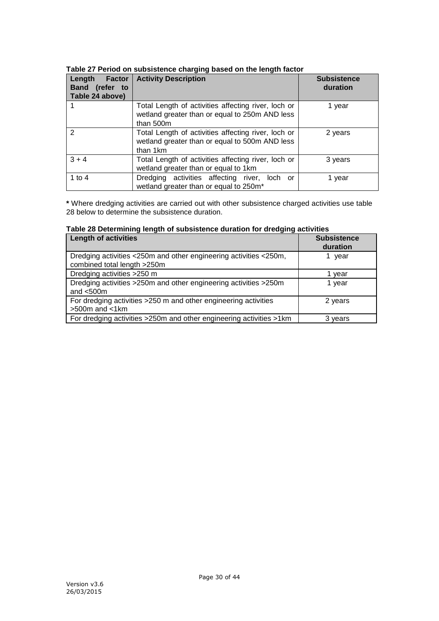| Factor<br>Length<br>Band (refer to<br>Table 24 above) | <b>Activity Description</b>                                                                                                    | <b>Subsistence</b><br>duration |
|-------------------------------------------------------|--------------------------------------------------------------------------------------------------------------------------------|--------------------------------|
|                                                       | Total Length of activities affecting river, loch or<br>1 year<br>wetland greater than or equal to 250m AND less<br>than $500m$ |                                |
| $\mathcal{P}$                                         | Total Length of activities affecting river, loch or<br>2 years<br>wetland greater than or equal to 500m AND less<br>than 1km   |                                |
| $3 + 4$                                               | Total Length of activities affecting river, loch or<br>3 years<br>wetland greater than or equal to 1km                         |                                |
| 1 to 4                                                | Dredging activities affecting river, loch or<br>wetland greater than or equal to 250m*                                         | 1 vear                         |

## **Table 27 Period on subsistence charging based on the length factor**

**\*** Where dredging activities are carried out with other subsistence charged activities use table 28 below to determine the subsistence duration.

| בטווי בט בטענטווווווווון וטווקנוו טו טמאטוטנטווטט ממומנוטוו וטו מוטמקוווק מטנודוונטט<br><b>Length of activities</b> | <b>Subsistence</b><br>duration |
|---------------------------------------------------------------------------------------------------------------------|--------------------------------|
| Dredging activities <250m and other engineering activities <250m,<br>combined total length >250m                    | year                           |
| Dredging activities >250 m                                                                                          | vear                           |
| Dredging activities >250m and other engineering activities >250m<br>and $<$ 500 $m$                                 | 1 year                         |
| For dredging activities >250 m and other engineering activities<br>$>500m$ and $< 1km$                              | 2 years                        |
| For dredging activities >250m and other engineering activities >1km                                                 | 3 years                        |

## **Table 28 Determining length of subsistence duration for dredging activities**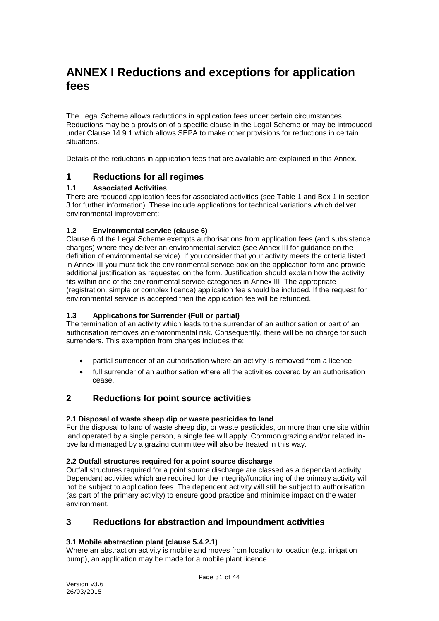# <span id="page-30-0"></span>**ANNEX I Reductions and exceptions for application fees**

The Legal Scheme allows reductions in application fees under certain circumstances. Reductions may be a provision of a specific clause in the Legal Scheme or may be introduced under Clause 14.9.1 which allows SEPA to make other provisions for reductions in certain situations.

<span id="page-30-1"></span>Details of the reductions in application fees that are available are explained in this Annex.

# **1 Reductions for all regimes**

## **1.1 Associated Activities**

There are reduced application fees for associated activities (see Table 1 and Box 1 in section 3 for further information). These include applications for technical variations which deliver environmental improvement:

## **1.2 Environmental service (clause 6)**

Clause 6 of the Legal Scheme exempts authorisations from application fees (and subsistence charges) where they deliver an environmental service (see Annex III for guidance on the definition of environmental service). If you consider that your activity meets the criteria listed in Annex III you must tick the environmental service box on the application form and provide additional justification as requested on the form. Justification should explain how the activity fits within one of the environmental service categories in Annex III. The appropriate (registration, simple or complex licence) application fee should be included. If the request for environmental service is accepted then the application fee will be refunded.

## **1.3 Applications for Surrender (Full or partial)**

The termination of an activity which leads to the surrender of an authorisation or part of an authorisation removes an environmental risk. Consequently, there will be no charge for such surrenders. This exemption from charges includes the:

- partial surrender of an authorisation where an activity is removed from a licence;
- full surrender of an authorisation where all the activities covered by an authorisation cease.

# <span id="page-30-2"></span>**2 Reductions for point source activities**

## **2.1 Disposal of waste sheep dip or waste pesticides to land**

For the disposal to land of waste sheep dip, or waste pesticides, on more than one site within land operated by a single person, a single fee will apply. Common grazing and/or related inbye land managed by a grazing committee will also be treated in this way.

## **2.2 Outfall structures required for a point source discharge**

Outfall structures required for a point source discharge are classed as a dependant activity. Dependant activities which are required for the integrity/functioning of the primary activity will not be subject to application fees. The dependent activity will still be subject to authorisation (as part of the primary activity) to ensure good practice and minimise impact on the water environment.

# <span id="page-30-3"></span>**3 Reductions for abstraction and impoundment activities**

## **3.1 Mobile abstraction plant (clause 5.4.2.1)**

Where an abstraction activity is mobile and moves from location to location (e.g. irrigation pump), an application may be made for a mobile plant licence.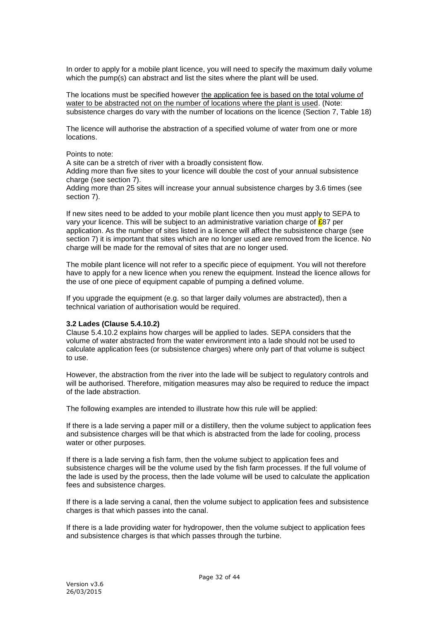In order to apply for a mobile plant licence, you will need to specify the maximum daily volume which the pump(s) can abstract and list the sites where the plant will be used.

The locations must be specified however the application fee is based on the total volume of water to be abstracted not on the number of locations where the plant is used. (Note: subsistence charges do vary with the number of locations on the licence (Section 7, Table 18)

The licence will authorise the abstraction of a specified volume of water from one or more locations.

#### Points to note:

A site can be a stretch of river with a broadly consistent flow.

Adding more than five sites to your licence will double the cost of your annual subsistence charge (see section 7).

Adding more than 25 sites will increase your annual subsistence charges by 3.6 times (see section 7).

If new sites need to be added to your mobile plant licence then you must apply to SEPA to vary your licence. This will be subject to an administrative variation charge of £87 per application. As the number of sites listed in a licence will affect the subsistence charge (see section 7) it is important that sites which are no longer used are removed from the licence. No charge will be made for the removal of sites that are no longer used.

The mobile plant licence will not refer to a specific piece of equipment. You will not therefore have to apply for a new licence when you renew the equipment. Instead the licence allows for the use of one piece of equipment capable of pumping a defined volume.

If you upgrade the equipment (e.g. so that larger daily volumes are abstracted), then a technical variation of authorisation would be required.

#### **3.2 Lades (Clause 5.4.10.2)**

Clause 5.4.10.2 explains how charges will be applied to lades. SEPA considers that the volume of water abstracted from the water environment into a lade should not be used to calculate application fees (or subsistence charges) where only part of that volume is subject to use.

However, the abstraction from the river into the lade will be subject to regulatory controls and will be authorised. Therefore, mitigation measures may also be required to reduce the impact of the lade abstraction.

The following examples are intended to illustrate how this rule will be applied:

If there is a lade serving a paper mill or a distillery, then the volume subject to application fees and subsistence charges will be that which is abstracted from the lade for cooling, process water or other purposes.

If there is a lade serving a fish farm, then the volume subject to application fees and subsistence charges will be the volume used by the fish farm processes. If the full volume of the lade is used by the process, then the lade volume will be used to calculate the application fees and subsistence charges.

If there is a lade serving a canal, then the volume subject to application fees and subsistence charges is that which passes into the canal.

If there is a lade providing water for hydropower, then the volume subject to application fees and subsistence charges is that which passes through the turbine.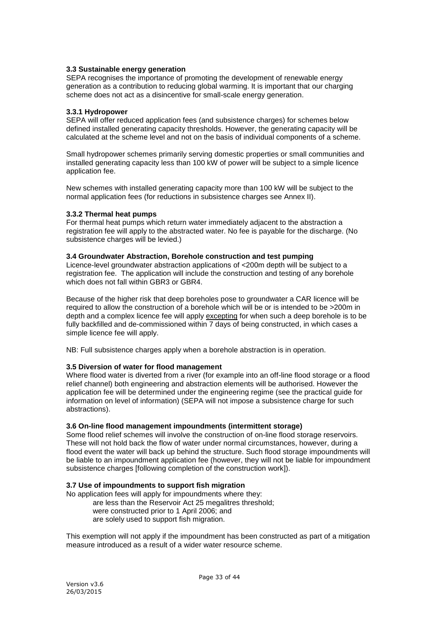#### **3.3 Sustainable energy generation**

SEPA recognises the importance of promoting the development of renewable energy generation as a contribution to reducing global warming. It is important that our charging scheme does not act as a disincentive for small-scale energy generation.

#### **3.3.1 Hydropower**

SEPA will offer reduced application fees (and subsistence charges) for schemes below defined installed generating capacity thresholds. However, the generating capacity will be calculated at the scheme level and not on the basis of individual components of a scheme.

Small hydropower schemes primarily serving domestic properties or small communities and installed generating capacity less than 100 kW of power will be subject to a simple licence application fee.

New schemes with installed generating capacity more than 100 kW will be subject to the normal application fees (for reductions in subsistence charges see Annex II).

#### **3.3.2 Thermal heat pumps**

For thermal heat pumps which return water immediately adjacent to the abstraction a registration fee will apply to the abstracted water. No fee is payable for the discharge. (No subsistence charges will be levied.)

#### **3.4 Groundwater Abstraction, Borehole construction and test pumping**

Licence-level groundwater abstraction applications of <200m depth will be subject to a registration fee. The application will include the construction and testing of any borehole which does not fall within GBR3 or GBR4.

Because of the higher risk that deep boreholes pose to groundwater a CAR licence will be required to allow the construction of a borehole which will be or is intended to be >200m in depth and a complex licence fee will apply excepting for when such a deep borehole is to be fully backfilled and de-commissioned within 7 days of being constructed, in which cases a simple licence fee will apply.

NB: Full subsistence charges apply when a borehole abstraction is in operation.

#### **3.5 Diversion of water for flood management**

Where flood water is diverted from a river (for example into an off-line flood storage or a flood relief channel) both engineering and abstraction elements will be authorised. However the application fee will be determined under the engineering regime (see the practical guide for information on level of information) (SEPA will not impose a subsistence charge for such abstractions).

#### **3.6 On-line flood management impoundments (intermittent storage)**

Some flood relief schemes will involve the construction of on-line flood storage reservoirs. These will not hold back the flow of water under normal circumstances, however, during a flood event the water will back up behind the structure. Such flood storage impoundments will be liable to an impoundment application fee (however, they will not be liable for impoundment subsistence charges [following completion of the construction work]).

#### **3.7 Use of impoundments to support fish migration**

No application fees will apply for impoundments where they:

are less than the Reservoir Act 25 megalitres threshold; were constructed prior to 1 April 2006; and are solely used to support fish migration.

This exemption will not apply if the impoundment has been constructed as part of a mitigation measure introduced as a result of a wider water resource scheme.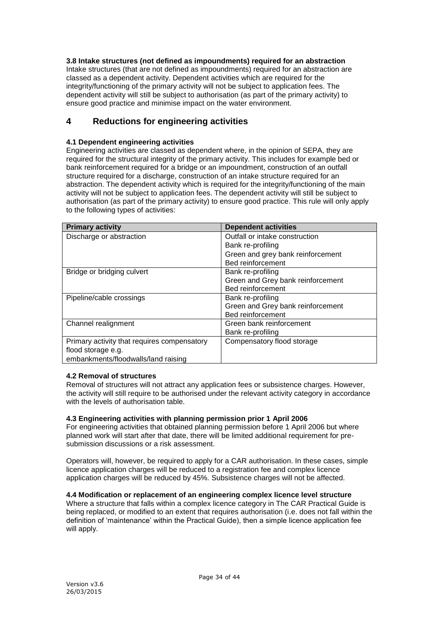## **3.8 Intake structures (not defined as impoundments) required for an abstraction**

Intake structures (that are not defined as impoundments) required for an abstraction are classed as a dependent activity. Dependent activities which are required for the integrity/functioning of the primary activity will not be subject to application fees. The dependent activity will still be subject to authorisation (as part of the primary activity) to ensure good practice and minimise impact on the water environment.

# <span id="page-33-0"></span>**4 Reductions for engineering activities**

## **4.1 Dependent engineering activities**

Engineering activities are classed as dependent where, in the opinion of SEPA, they are required for the structural integrity of the primary activity. This includes for example bed or bank reinforcement required for a bridge or an impoundment, construction of an outfall structure required for a discharge, construction of an intake structure required for an abstraction. The dependent activity which is required for the integrity/functioning of the main activity will not be subject to application fees. The dependent activity will still be subject to authorisation (as part of the primary activity) to ensure good practice. This rule will only apply to the following types of activities:

| <b>Primary activity</b>                     | <b>Dependent activities</b>       |
|---------------------------------------------|-----------------------------------|
| Discharge or abstraction                    | Outfall or intake construction    |
|                                             | Bank re-profiling                 |
|                                             | Green and grey bank reinforcement |
|                                             | Bed reinforcement                 |
| Bridge or bridging culvert                  | Bank re-profiling                 |
|                                             | Green and Grey bank reinforcement |
|                                             | <b>Bed reinforcement</b>          |
| Pipeline/cable crossings                    | Bank re-profiling                 |
|                                             | Green and Grey bank reinforcement |
|                                             | <b>Bed reinforcement</b>          |
| Channel realignment                         | Green bank reinforcement          |
|                                             | Bank re-profiling                 |
| Primary activity that requires compensatory | Compensatory flood storage        |
| flood storage e.g.                          |                                   |
| embankments/floodwalls/land raising         |                                   |

## **4.2 Removal of structures**

Removal of structures will not attract any application fees or subsistence charges. However, the activity will still require to be authorised under the relevant activity category in accordance with the levels of authorisation table.

## **4.3 Engineering activities with planning permission prior 1 April 2006**

For engineering activities that obtained planning permission before 1 April 2006 but where planned work will start after that date, there will be limited additional requirement for presubmission discussions or a risk assessment.

Operators will, however, be required to apply for a CAR authorisation. In these cases, simple licence application charges will be reduced to a registration fee and complex licence application charges will be reduced by 45%. Subsistence charges will not be affected.

## **4.4 Modification or replacement of an engineering complex licence level structure**

Where a structure that falls within a complex licence category in The CAR Practical Guide is being replaced, or modified to an extent that requires authorisation (i.e. does not fall within the definition of 'maintenance' within the Practical Guide), then a simple licence application fee will apply.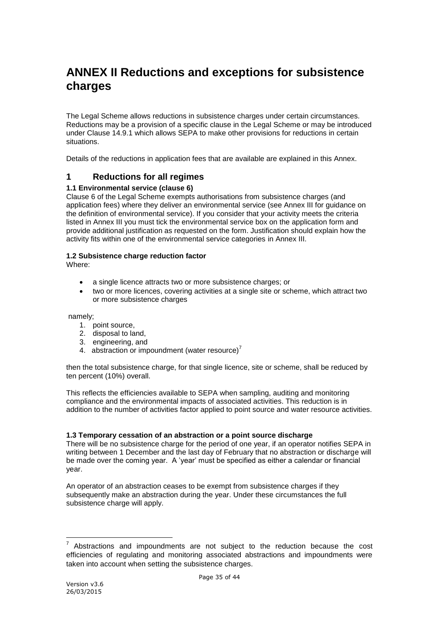# <span id="page-34-0"></span>**ANNEX II Reductions and exceptions for subsistence charges**

The Legal Scheme allows reductions in subsistence charges under certain circumstances. Reductions may be a provision of a specific clause in the Legal Scheme or may be introduced under Clause 14.9.1 which allows SEPA to make other provisions for reductions in certain situations.

<span id="page-34-1"></span>Details of the reductions in application fees that are available are explained in this Annex.

## **1 Reductions for all regimes**

## **1.1 Environmental service (clause 6)**

Clause 6 of the Legal Scheme exempts authorisations from subsistence charges (and application fees) where they deliver an environmental service (see Annex III for guidance on the definition of environmental service). If you consider that your activity meets the criteria listed in Annex III you must tick the environmental service box on the application form and provide additional justification as requested on the form. Justification should explain how the activity fits within one of the environmental service categories in Annex III.

## **1.2 Subsistence charge reduction factor**

Where:

- a single licence attracts two or more subsistence charges; or
- two or more licences, covering activities at a single site or scheme, which attract two or more subsistence charges

namely;

- 1. point source,
- 2. disposal to land,
- 3. engineering, and
- 4. abstraction or impoundment (water resource)<sup>7</sup>

then the total subsistence charge, for that single licence, site or scheme, shall be reduced by ten percent (10%) overall.

This reflects the efficiencies available to SEPA when sampling, auditing and monitoring compliance and the environmental impacts of associated activities. This reduction is in addition to the number of activities factor applied to point source and water resource activities.

## **1.3 Temporary cessation of an abstraction or a point source discharge**

There will be no subsistence charge for the period of one year, if an operator notifies SEPA in writing between 1 December and the last day of February that no abstraction or discharge will be made over the coming year. A 'year' must be specified as either a calendar or financial year.

An operator of an abstraction ceases to be exempt from subsistence charges if they subsequently make an abstraction during the year. Under these circumstances the full subsistence charge will apply.

1

<sup>7</sup> Abstractions and impoundments are not subject to the reduction because the cost efficiencies of regulating and monitoring associated abstractions and impoundments were taken into account when setting the subsistence charges.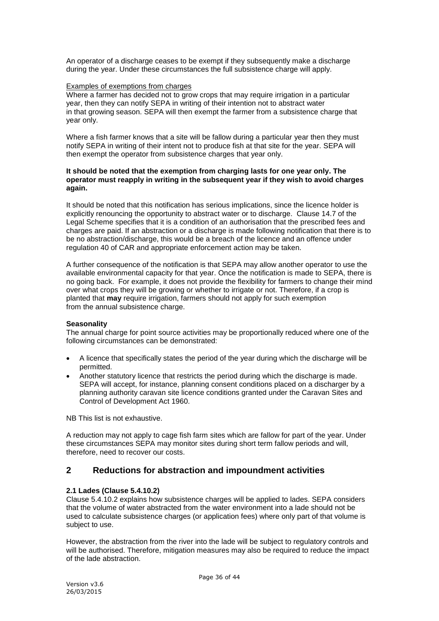An operator of a discharge ceases to be exempt if they subsequently make a discharge during the year. Under these circumstances the full subsistence charge will apply.

#### Examples of exemptions from charges

Where a farmer has decided not to grow crops that may require irrigation in a particular year, then they can notify SEPA in writing of their intention not to abstract water in that growing season. SEPA will then exempt the farmer from a subsistence charge that year only.

Where a fish farmer knows that a site will be fallow during a particular year then they must notify SEPA in writing of their intent not to produce fish at that site for the year. SEPA will then exempt the operator from subsistence charges that year only.

#### **It should be noted that the exemption from charging lasts for one year only. The operator must reapply in writing in the subsequent year if they wish to avoid charges again.**

It should be noted that this notification has serious implications, since the licence holder is explicitly renouncing the opportunity to abstract water or to discharge. Clause 14.7 of the Legal Scheme specifies that it is a condition of an authorisation that the prescribed fees and charges are paid. If an abstraction or a discharge is made following notification that there is to be no abstraction/discharge, this would be a breach of the licence and an offence under regulation 40 of CAR and appropriate enforcement action may be taken.

A further consequence of the notification is that SEPA may allow another operator to use the available environmental capacity for that year. Once the notification is made to SEPA, there is no going back. For example, it does not provide the flexibility for farmers to change their mind over what crops they will be growing or whether to irrigate or not. Therefore, if a crop is planted that **may** require irrigation, farmers should not apply for such exemption from the annual subsistence charge.

## **Seasonality**

The annual charge for point source activities may be proportionally reduced where one of the following circumstances can be demonstrated:

- A licence that specifically states the period of the year during which the discharge will be permitted.
- Another statutory licence that restricts the period during which the discharge is made. SEPA will accept, for instance, planning consent conditions placed on a discharger by a planning authority caravan site licence conditions granted under the Caravan Sites and Control of Development Act 1960.

NB This list is not exhaustive.

A reduction may not apply to cage fish farm sites which are fallow for part of the year. Under these circumstances SEPA may monitor sites during short term fallow periods and will, therefore, need to recover our costs.

# <span id="page-35-0"></span>**2 Reductions for abstraction and impoundment activities**

## **2.1 Lades (Clause 5.4.10.2)**

Clause 5.4.10.2 explains how subsistence charges will be applied to lades. SEPA considers that the volume of water abstracted from the water environment into a lade should not be used to calculate subsistence charges (or application fees) where only part of that volume is subject to use.

However, the abstraction from the river into the lade will be subject to regulatory controls and will be authorised. Therefore, mitigation measures may also be required to reduce the impact of the lade abstraction.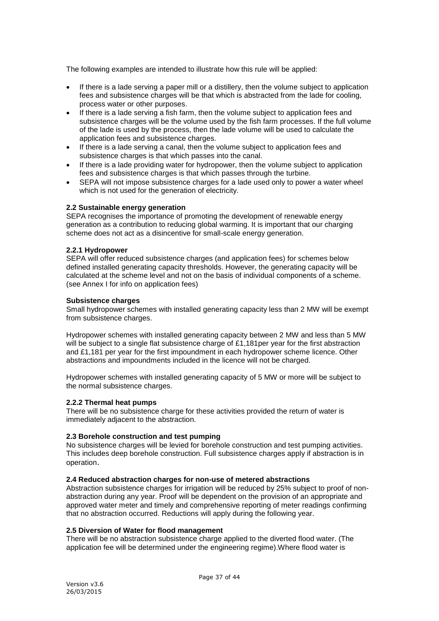The following examples are intended to illustrate how this rule will be applied:

- If there is a lade serving a paper mill or a distillery, then the volume subject to application fees and subsistence charges will be that which is abstracted from the lade for cooling, process water or other purposes.
- If there is a lade serving a fish farm, then the volume subject to application fees and subsistence charges will be the volume used by the fish farm processes. If the full volume of the lade is used by the process, then the lade volume will be used to calculate the application fees and subsistence charges.
- If there is a lade serving a canal, then the volume subject to application fees and subsistence charges is that which passes into the canal.
- If there is a lade providing water for hydropower, then the volume subject to application fees and subsistence charges is that which passes through the turbine.
- SEPA will not impose subsistence charges for a lade used only to power a water wheel which is not used for the generation of electricity.

#### **2.2 Sustainable energy generation**

SEPA recognises the importance of promoting the development of renewable energy generation as a contribution to reducing global warming. It is important that our charging scheme does not act as a disincentive for small-scale energy generation.

#### **2.2.1 Hydropower**

SEPA will offer reduced subsistence charges (and application fees) for schemes below defined installed generating capacity thresholds. However, the generating capacity will be calculated at the scheme level and not on the basis of individual components of a scheme. (see Annex I for info on application fees)

#### **Subsistence charges**

Small hydropower schemes with installed generating capacity less than 2 MW will be exempt from subsistence charges.

Hydropower schemes with installed generating capacity between 2 MW and less than 5 MW will be subject to a single flat subsistence charge of £1,181per year for the first abstraction and £1,181 per year for the first impoundment in each hydropower scheme licence. Other abstractions and impoundments included in the licence will not be charged.

Hydropower schemes with installed generating capacity of 5 MW or more will be subject to the normal subsistence charges.

## **2.2.2 Thermal heat pumps**

There will be no subsistence charge for these activities provided the return of water is immediately adjacent to the abstraction.

#### **2.3 Borehole construction and test pumping**

No subsistence charges will be levied for borehole construction and test pumping activities. This includes deep borehole construction. Full subsistence charges apply if abstraction is in operation.

#### **2.4 Reduced abstraction charges for non-use of metered abstractions**

Abstraction subsistence charges for irrigation will be reduced by 25% subject to proof of nonabstraction during any year. Proof will be dependent on the provision of an appropriate and approved water meter and timely and comprehensive reporting of meter readings confirming that no abstraction occurred. Reductions will apply during the following year.

#### **2.5 Diversion of Water for flood management**

There will be no abstraction subsistence charge applied to the diverted flood water. (The application fee will be determined under the engineering regime).Where flood water is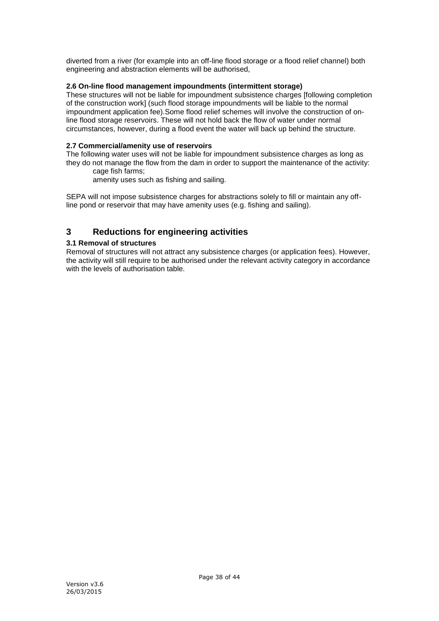diverted from a river (for example into an off-line flood storage or a flood relief channel) both engineering and abstraction elements will be authorised,

## **2.6 On-line flood management impoundments (intermittent storage)**

These structures will not be liable for impoundment subsistence charges [following completion of the construction work] (such flood storage impoundments will be liable to the normal impoundment application fee).Some flood relief schemes will involve the construction of online flood storage reservoirs. These will not hold back the flow of water under normal circumstances, however, during a flood event the water will back up behind the structure.

## **2.7 Commercial/amenity use of reservoirs**

The following water uses will not be liable for impoundment subsistence charges as long as they do not manage the flow from the dam in order to support the maintenance of the activity: cage fish farms;

amenity uses such as fishing and sailing.

SEPA will not impose subsistence charges for abstractions solely to fill or maintain any offline pond or reservoir that may have amenity uses (e.g. fishing and sailing).

# <span id="page-37-0"></span>**3 Reductions for engineering activities**

## **3.1 Removal of structures**

Removal of structures will not attract any subsistence charges (or application fees). However, the activity will still require to be authorised under the relevant activity category in accordance with the levels of authorisation table.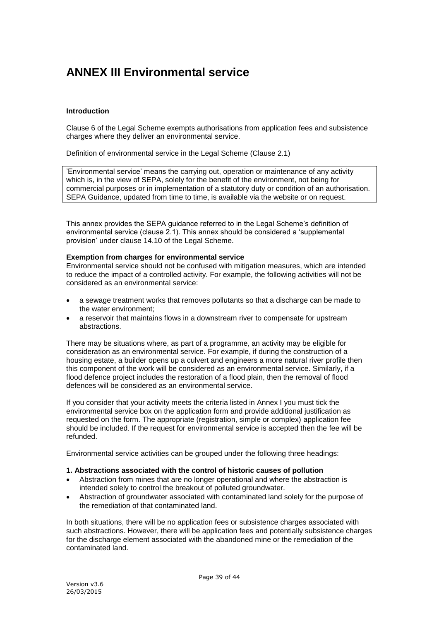# <span id="page-38-0"></span>**ANNEX III Environmental service**

#### **Introduction**

Clause 6 of the Legal Scheme exempts authorisations from application fees and subsistence charges where they deliver an environmental service.

Definition of environmental service in the Legal Scheme (Clause 2.1)

'Environmental service' means the carrying out, operation or maintenance of any activity which is, in the view of SEPA, solely for the benefit of the environment, not being for commercial purposes or in implementation of a statutory duty or condition of an authorisation. SEPA Guidance, updated from time to time, is available via the website or on request.

This annex provides the SEPA guidance referred to in the Legal Scheme's definition of environmental service (clause 2.1). This annex should be considered a 'supplemental provision' under clause 14.10 of the Legal Scheme.

#### **Exemption from charges for environmental service**

Environmental service should not be confused with mitigation measures, which are intended to reduce the impact of a controlled activity. For example, the following activities will not be considered as an environmental service:

- a sewage treatment works that removes pollutants so that a discharge can be made to the water environment;
- a reservoir that maintains flows in a downstream river to compensate for upstream abstractions.

There may be situations where, as part of a programme, an activity may be eligible for consideration as an environmental service. For example, if during the construction of a housing estate, a builder opens up a culvert and engineers a more natural river profile then this component of the work will be considered as an environmental service. Similarly, if a flood defence project includes the restoration of a flood plain, then the removal of flood defences will be considered as an environmental service.

If you consider that your activity meets the criteria listed in Annex I you must tick the environmental service box on the application form and provide additional justification as requested on the form. The appropriate (registration, simple or complex) application fee should be included. If the request for environmental service is accepted then the fee will be refunded.

Environmental service activities can be grouped under the following three headings:

#### **1. Abstractions associated with the control of historic causes of pollution**

- Abstraction from mines that are no longer operational and where the abstraction is intended solely to control the breakout of polluted groundwater.
- Abstraction of groundwater associated with contaminated land solely for the purpose of the remediation of that contaminated land.

In both situations, there will be no application fees or subsistence charges associated with such abstractions. However, there will be application fees and potentially subsistence charges for the discharge element associated with the abandoned mine or the remediation of the contaminated land.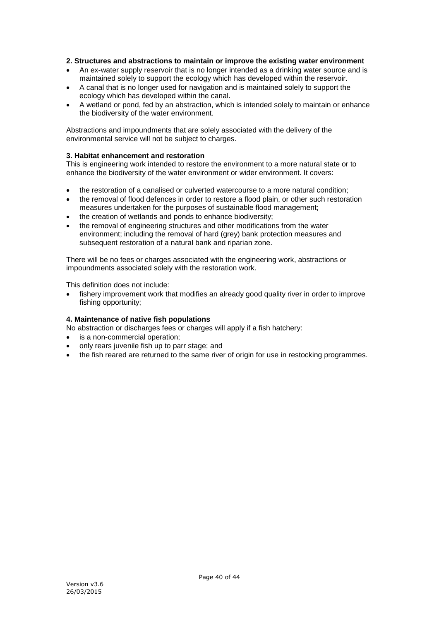#### **2. Structures and abstractions to maintain or improve the existing water environment**

- An ex-water supply reservoir that is no longer intended as a drinking water source and is maintained solely to support the ecology which has developed within the reservoir.
- A canal that is no longer used for navigation and is maintained solely to support the ecology which has developed within the canal.
- A wetland or pond, fed by an abstraction, which is intended solely to maintain or enhance the biodiversity of the water environment.

Abstractions and impoundments that are solely associated with the delivery of the environmental service will not be subject to charges.

#### **3. Habitat enhancement and restoration**

This is engineering work intended to restore the environment to a more natural state or to enhance the biodiversity of the water environment or wider environment. It covers:

- the restoration of a canalised or culverted watercourse to a more natural condition;
- the removal of flood defences in order to restore a flood plain, or other such restoration measures undertaken for the purposes of sustainable flood management;
- the creation of wetlands and ponds to enhance biodiversity:
- the removal of engineering structures and other modifications from the water environment; including the removal of hard (grey) bank protection measures and subsequent restoration of a natural bank and riparian zone.

There will be no fees or charges associated with the engineering work, abstractions or impoundments associated solely with the restoration work.

This definition does not include:

 fishery improvement work that modifies an already good quality river in order to improve fishing opportunity:

## **4. Maintenance of native fish populations**

No abstraction or discharges fees or charges will apply if a fish hatchery:

- is a non-commercial operation:
- only rears juvenile fish up to parr stage; and
- the fish reared are returned to the same river of origin for use in restocking programmes.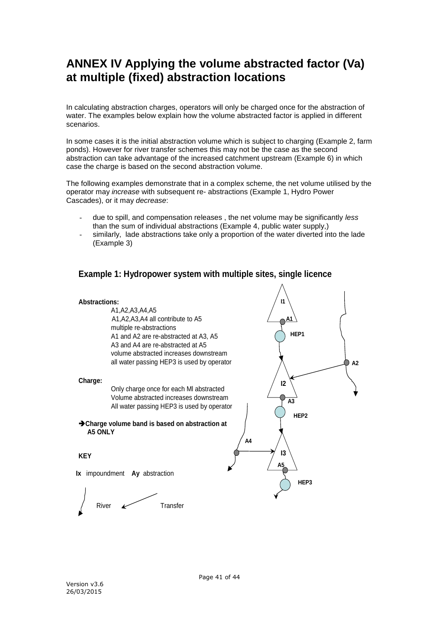# <span id="page-40-0"></span>**ANNEX IV Applying the volume abstracted factor (Va) at multiple (fixed) abstraction locations**

In calculating abstraction charges, operators will only be charged once for the abstraction of water. The examples below explain how the volume abstracted factor is applied in different scenarios.

In some cases it is the initial abstraction volume which is subject to charging (Example 2, farm ponds). However for river transfer schemes this may not be the case as the second abstraction can take advantage of the increased catchment upstream (Example 6) in which case the charge is based on the second abstraction volume.

The following examples demonstrate that in a complex scheme, the net volume utilised by the operator may *increase* with subsequent re- abstractions (Example 1, Hydro Power Cascades), or it may *decrease*:

- due to spill, and compensation releases , the net volume may be significantly *less* than the sum of individual abstractions (Example 4, public water supply,)
- similarly, lade abstractions take only a proportion of the water diverted into the lade (Example 3)

# **Example 1: Hydropower system with multiple sites, single licence**

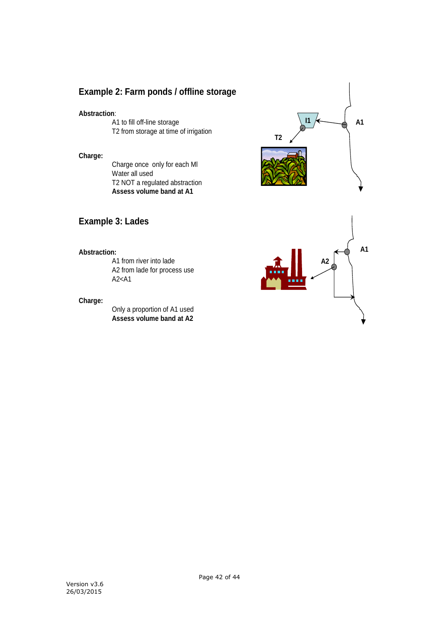# **Example 2: Farm ponds / offline storage**

## **Abstraction**:

A1 to fill off-line storage T2 from storage at time of irrigation

#### **Charge:**

Charge once only for each Ml Water all used T2 NOT a regulated abstraction **Assess volume band at A1**

# **Example 3: Lades**

## **Abstraction:**

A1 from river into lade A2 from lade for process use A2<A1

#### **Charge:**

Only a proportion of A1 used **Assess volume band at A2**



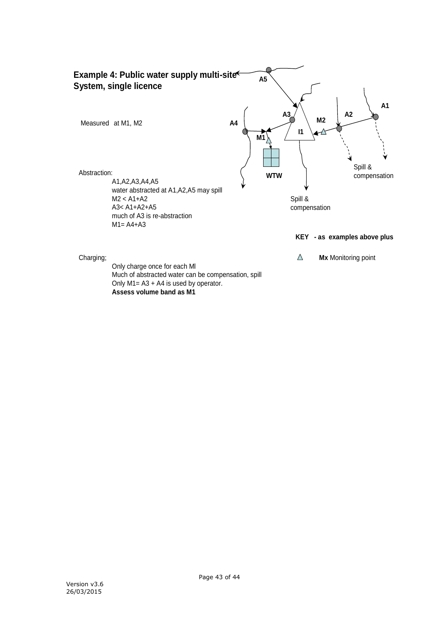

Much of abstracted water can be compensation, spill Only M1= A3 + A4 is used by operator. **Assess volume band as M1**